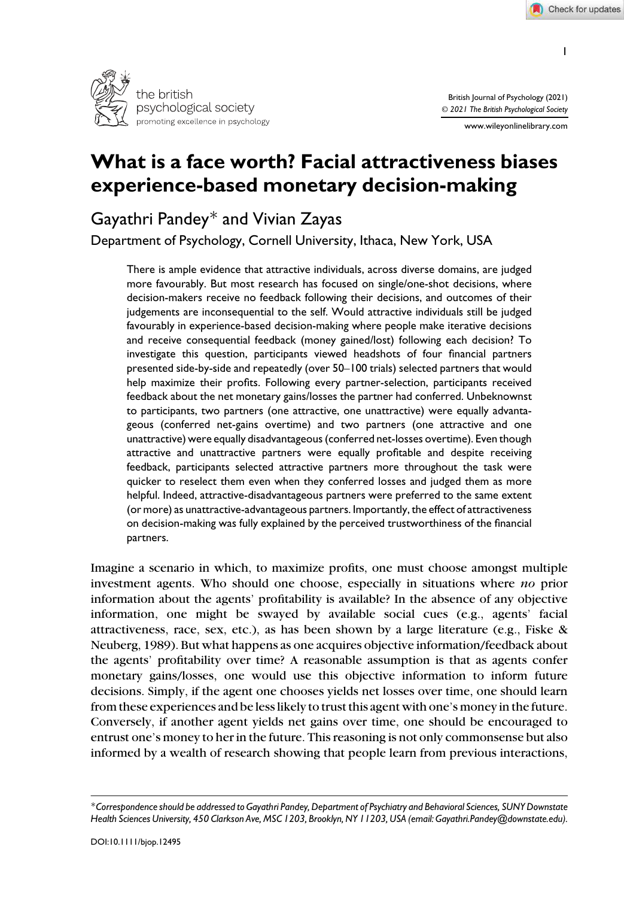

British Journal of Psychology (2021) © *2021 The British Psychological Society*

www.wileyonlinelibrary.com

# What is a face worth? Facial attractiveness biases experience-based monetary decision-making

# Gayathri Pandey\* and Vivian Zayas

Department of Psychology, Cornell University, Ithaca, New York, USA

There is ample evidence that attractive individuals, across diverse domains, are judged more favourably. But most research has focused on single/one-shot decisions, where decision-makers receive no feedback following their decisions, and outcomes of their judgements are inconsequential to the self. Would attractive individuals still be judged favourably in experience-based decision-making where people make iterative decisions and receive consequential feedback (money gained/lost) following each decision? To investigate this question, participants viewed headshots of four financial partners presented side-by-side and repeatedly (over 50–100 trials) selected partners that would help maximize their profits. Following every partner-selection, participants received feedback about the net monetary gains/losses the partner had conferred. Unbeknownst to participants, two partners (one attractive, one unattractive) were equally advantageous (conferred net-gains overtime) and two partners (one attractive and one unattractive) were equally disadvantageous (conferred net-losses overtime). Even though attractive and unattractive partners were equally profitable and despite receiving feedback, participants selected attractive partners more throughout the task were quicker to reselect them even when they conferred losses and judged them as more helpful. Indeed, attractive-disadvantageous partners were preferred to the same extent (or more) as unattractive-advantageous partners. Importantly, the effect of attractiveness on decision-making was fully explained by the perceived trustworthiness of the financial partners.

Imagine a scenario in which, to maximize profits, one must choose amongst multiple investment agents. Who should one choose, especially in situations where *no* prior information about the agents' profitability is available? In the absence of any objective information, one might be swayed by available social cues (e.g., agents' facial attractiveness, race, sex, etc.), as has been shown by a large literature (e.g., Fiske  $\&$ Neuberg, 1989). But what happens as one acquires objective information/feedback about the agents' profitability over time? A reasonable assumption is that as agents confer monetary gains/losses, one would use this objective information to inform future decisions. Simply, if the agent one chooses yields net losses over time, one should learn from these experiences and be less likely to trust this agent with one's money in the future. Conversely, if another agent yields net gains over time, one should be encouraged to entrust one's money to her in the future. This reasoning is not only commonsense but also informed by a wealth of research showing that people learn from previous interactions,

<sup>\*</sup>*Correspondence should be addressed to Gayathri Pandey, Department of Psychiatry and Behavioral Sciences, SUNY Downstate Health Sciences University, 450 Clarkson Ave, MSC 1203, Brooklyn, NY 11203, USA (email: Gayathri.Pandey@downstate.edu).*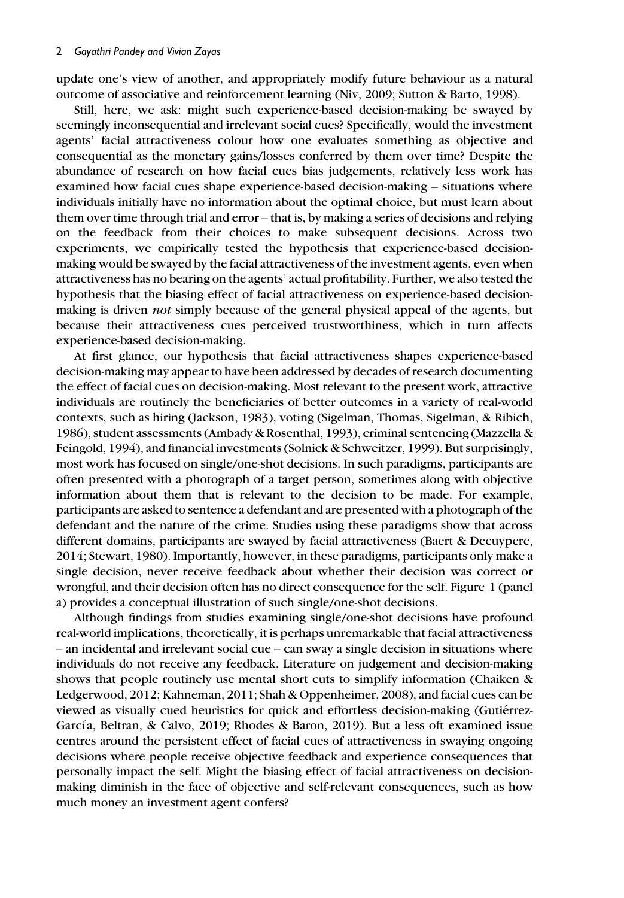update one's view of another, and appropriately modify future behaviour as a natural outcome of associative and reinforcement learning (Niv, 2009; Sutton & Barto, 1998).

Still, here, we ask: might such experience-based decision-making be swayed by seemingly inconsequential and irrelevant social cues? Specifically, would the investment agents' facial attractiveness colour how one evaluates something as objective and consequential as the monetary gains/losses conferred by them over time? Despite the abundance of research on how facial cues bias judgements, relatively less work has examined how facial cues shape experience-based decision-making – situations where individuals initially have no information about the optimal choice, but must learn about them over time through trial and error – that is, by making a series of decisions and relying on the feedback from their choices to make subsequent decisions. Across two experiments, we empirically tested the hypothesis that experience-based decisionmaking would be swayed by the facial attractiveness of the investment agents, even when attractiveness has no bearing on the agents' actual profitability. Further, we also tested the hypothesis that the biasing effect of facial attractiveness on experience-based decisionmaking is driven *not* simply because of the general physical appeal of the agents, but because their attractiveness cues perceived trustworthiness, which in turn affects experience-based decision-making.

At first glance, our hypothesis that facial attractiveness shapes experience-based decision-making may appear to have been addressed by decades of research documenting the effect of facial cues on decision-making. Most relevant to the present work, attractive individuals are routinely the beneficiaries of better outcomes in a variety of real-world contexts, such as hiring (Jackson, 1983), voting (Sigelman, Thomas, Sigelman, & Ribich, 1986), student assessments (Ambady & Rosenthal, 1993), criminal sentencing (Mazzella & Feingold, 1994), and financial investments (Solnick & Schweitzer, 1999). But surprisingly, most work has focused on single/one-shot decisions. In such paradigms, participants are often presented with a photograph of a target person, sometimes along with objective information about them that is relevant to the decision to be made. For example, participants are asked to sentence a defendant and are presented with a photograph of the defendant and the nature of the crime. Studies using these paradigms show that across different domains, participants are swayed by facial attractiveness (Baert & Decuypere, 2014; Stewart, 1980). Importantly, however, in these paradigms, participants only make a single decision, never receive feedback about whether their decision was correct or wrongful, and their decision often has no direct consequence for the self. Figure 1 (panel a) provides a conceptual illustration of such single/one-shot decisions.

Although findings from studies examining single/one-shot decisions have profound real-world implications, theoretically, it is perhaps unremarkable that facial attractiveness – an incidental and irrelevant social cue – can sway a single decision in situations where individuals do not receive any feedback. Literature on judgement and decision-making shows that people routinely use mental short cuts to simplify information (Chaiken & Ledgerwood, 2012; Kahneman, 2011; Shah & Oppenheimer, 2008), and facial cues can be viewed as visually cued heuristics for quick and effortless decision-making (Gutierrez- ´ García, Beltran, & Calvo, 2019; Rhodes & Baron, 2019). But a less oft examined issue centres around the persistent effect of facial cues of attractiveness in swaying ongoing decisions where people receive objective feedback and experience consequences that personally impact the self. Might the biasing effect of facial attractiveness on decisionmaking diminish in the face of objective and self-relevant consequences, such as how much money an investment agent confers?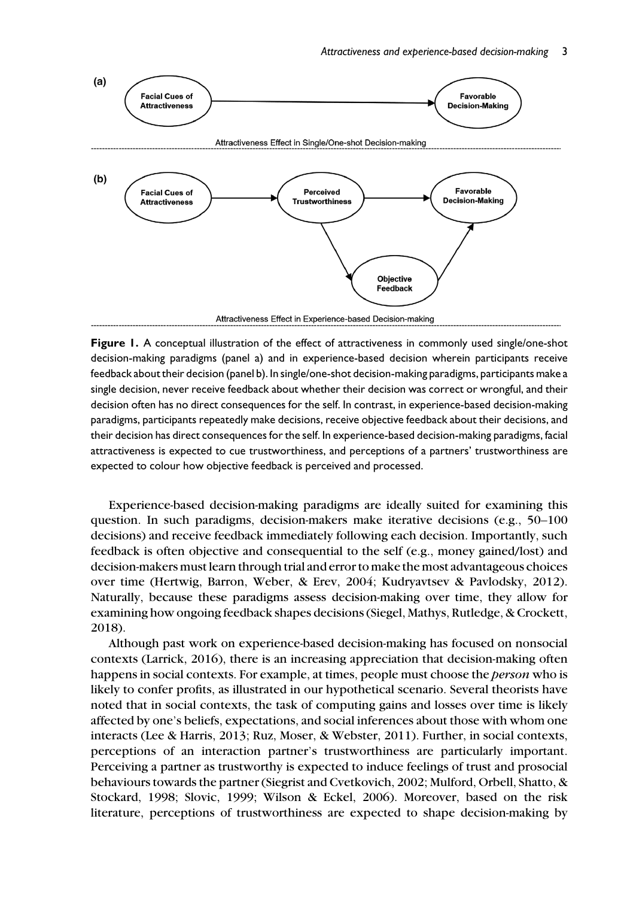

Figure 1. A conceptual illustration of the effect of attractiveness in commonly used single/one-shot decision-making paradigms (panel a) and in experience-based decision wherein participants receive feedback about their decision (panel b). In single/one-shot decision-making paradigms, participants make a single decision, never receive feedback about whether their decision was correct or wrongful, and their decision often has no direct consequences for the self. In contrast, in experience-based decision-making paradigms, participants repeatedly make decisions, receive objective feedback about their decisions, and their decision has direct consequences for the self. In experience-based decision-making paradigms, facial attractiveness is expected to cue trustworthiness, and perceptions of a partners' trustworthiness are expected to colour how objective feedback is perceived and processed.

Experience-based decision-making paradigms are ideally suited for examining this question. In such paradigms, decision-makers make iterative decisions (e.g., 50–100 decisions) and receive feedback immediately following each decision. Importantly, such feedback is often objective and consequential to the self (e.g., money gained/lost) and decision-makers must learn through trial and error to make the most advantageous choices over time (Hertwig, Barron, Weber, & Erev, 2004; Kudryavtsev & Pavlodsky, 2012). Naturally, because these paradigms assess decision-making over time, they allow for examining how ongoing feedback shapes decisions (Siegel, Mathys, Rutledge, & Crockett, 2018).

Although past work on experience-based decision-making has focused on nonsocial contexts (Larrick, 2016), there is an increasing appreciation that decision-making often happens in social contexts. For example, at times, people must choose the *person* who is likely to confer profits, as illustrated in our hypothetical scenario. Several theorists have noted that in social contexts, the task of computing gains and losses over time is likely affected by one's beliefs, expectations, and social inferences about those with whom one interacts (Lee & Harris, 2013; Ruz, Moser, & Webster, 2011). Further, in social contexts, perceptions of an interaction partner's trustworthiness are particularly important. Perceiving a partner as trustworthy is expected to induce feelings of trust and prosocial behaviours towards the partner (Siegrist and Cvetkovich, 2002; Mulford, Orbell, Shatto, & Stockard, 1998; Slovic, 1999; Wilson & Eckel, 2006). Moreover, based on the risk literature, perceptions of trustworthiness are expected to shape decision-making by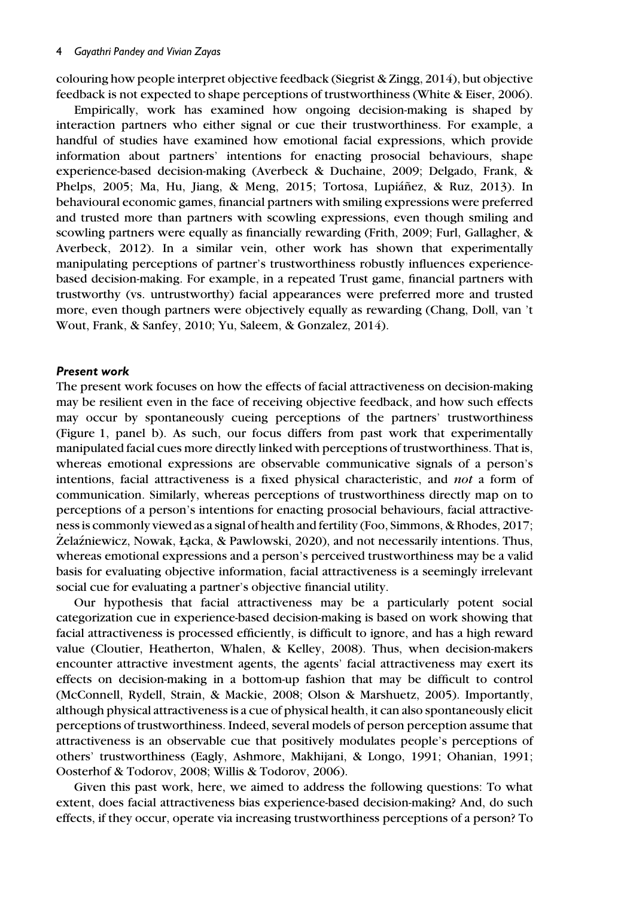colouring how people interpret objective feedback (Siegrist & Zingg, 2014), but objective feedback is not expected to shape perceptions of trustworthiness (White & Eiser, 2006).

Empirically, work has examined how ongoing decision-making is shaped by interaction partners who either signal or cue their trustworthiness. For example, a handful of studies have examined how emotional facial expressions, which provide information about partners' intentions for enacting prosocial behaviours, shape experience-based decision-making (Averbeck & Duchaine, 2009; Delgado, Frank, & Phelps, 2005; Ma, Hu, Jiang, & Meng, 2015; Tortosa, Lupiáñez, & Ruz, 2013). In behavioural economic games, financial partners with smiling expressions were preferred and trusted more than partners with scowling expressions, even though smiling and scowling partners were equally as financially rewarding (Frith, 2009; Furl, Gallagher, & Averbeck, 2012). In a similar vein, other work has shown that experimentally manipulating perceptions of partner's trustworthiness robustly influences experiencebased decision-making. For example, in a repeated Trust game, financial partners with trustworthy (vs. untrustworthy) facial appearances were preferred more and trusted more, even though partners were objectively equally as rewarding (Chang, Doll, van 't Wout, Frank, & Sanfey, 2010; Yu, Saleem, & Gonzalez, 2014).

#### Present work

The present work focuses on how the effects of facial attractiveness on decision-making may be resilient even in the face of receiving objective feedback, and how such effects may occur by spontaneously cueing perceptions of the partners' trustworthiness (Figure 1, panel b). As such, our focus differs from past work that experimentally manipulated facial cues more directly linked with perceptions of trustworthiness. That is, whereas emotional expressions are observable communicative signals of a person's intentions, facial attractiveness is a fixed physical characteristic, and *not* a form of communication. Similarly, whereas perceptions of trustworthiness directly map on to perceptions of a person's intentions for enacting prosocial behaviours, facial attractiveness is commonly viewed as a signal of health and fertility (Foo, Simmons, & Rhodes, 2017; Żelaźniewicz, Nowak, Łacka, & Pawlowski, 2020), and not necessarily intentions. Thus, whereas emotional expressions and a person's perceived trustworthiness may be a valid basis for evaluating objective information, facial attractiveness is a seemingly irrelevant social cue for evaluating a partner's objective financial utility.

Our hypothesis that facial attractiveness may be a particularly potent social categorization cue in experience-based decision-making is based on work showing that facial attractiveness is processed efficiently, is difficult to ignore, and has a high reward value (Cloutier, Heatherton, Whalen, & Kelley, 2008). Thus, when decision-makers encounter attractive investment agents, the agents' facial attractiveness may exert its effects on decision-making in a bottom-up fashion that may be difficult to control (McConnell, Rydell, Strain, & Mackie, 2008; Olson & Marshuetz, 2005). Importantly, although physical attractiveness is a cue of physical health, it can also spontaneously elicit perceptions of trustworthiness. Indeed, several models of person perception assume that attractiveness is an observable cue that positively modulates people's perceptions of others' trustworthiness (Eagly, Ashmore, Makhijani, & Longo, 1991; Ohanian, 1991; Oosterhof & Todorov, 2008; Willis & Todorov, 2006).

Given this past work, here, we aimed to address the following questions: To what extent, does facial attractiveness bias experience-based decision-making? And, do such effects, if they occur, operate via increasing trustworthiness perceptions of a person? To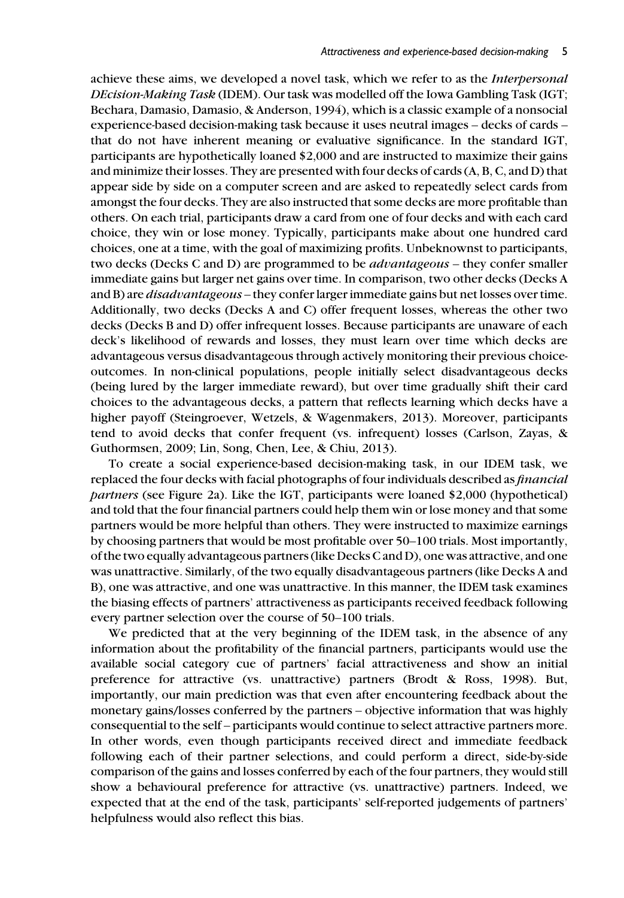achieve these aims, we developed a novel task, which we refer to as the *Interpersonal DEcision-Making Task* (IDEM). Our task was modelled off the Iowa Gambling Task (IGT; Bechara, Damasio, Damasio, & Anderson, 1994), which is a classic example of a nonsocial experience-based decision-making task because it uses neutral images – decks of cards – that do not have inherent meaning or evaluative significance. In the standard IGT, participants are hypothetically loaned \$2,000 and are instructed to maximize their gains and minimize their losses. They are presented with four decks of cards (A, B, C, and D) that appear side by side on a computer screen and are asked to repeatedly select cards from amongst the four decks. They are also instructed that some decks are more profitable than others. On each trial, participants draw a card from one of four decks and with each card choice, they win or lose money. Typically, participants make about one hundred card choices, one at a time, with the goal of maximizing profits. Unbeknownst to participants, two decks (Decks C and D) are programmed to be *advantageous* – they confer smaller immediate gains but larger net gains over time. In comparison, two other decks (Decks A and B) are *disadvantageous* – they confer larger immediate gains but net losses over time. Additionally, two decks (Decks A and C) offer frequent losses, whereas the other two decks (Decks B and D) offer infrequent losses. Because participants are unaware of each deck's likelihood of rewards and losses, they must learn over time which decks are advantageous versus disadvantageous through actively monitoring their previous choiceoutcomes. In non-clinical populations, people initially select disadvantageous decks (being lured by the larger immediate reward), but over time gradually shift their card choices to the advantageous decks, a pattern that reflects learning which decks have a higher payoff (Steingroever, Wetzels, & Wagenmakers, 2013). Moreover, participants tend to avoid decks that confer frequent (vs. infrequent) losses (Carlson, Zayas, & Guthormsen, 2009; Lin, Song, Chen, Lee, & Chiu, 2013).

To create a social experience-based decision-making task, in our IDEM task, we replaced the four decks with facial photographs of four individuals described as *financial partners* (see Figure 2a). Like the IGT, participants were loaned \$2,000 (hypothetical) and told that the four financial partners could help them win or lose money and that some partners would be more helpful than others. They were instructed to maximize earnings by choosing partners that would be most profitable over 50–100 trials. Most importantly, of the two equally advantageous partners (like Decks C and D), one was attractive, and one was unattractive. Similarly, of the two equally disadvantageous partners (like Decks A and B), one was attractive, and one was unattractive. In this manner, the IDEM task examines the biasing effects of partners' attractiveness as participants received feedback following every partner selection over the course of 50–100 trials.

We predicted that at the very beginning of the IDEM task, in the absence of any information about the profitability of the financial partners, participants would use the available social category cue of partners' facial attractiveness and show an initial preference for attractive (vs. unattractive) partners (Brodt & Ross, 1998). But, importantly, our main prediction was that even after encountering feedback about the monetary gains/losses conferred by the partners – objective information that was highly consequential to the self – participants would continue to select attractive partners more. In other words, even though participants received direct and immediate feedback following each of their partner selections, and could perform a direct, side-by-side comparison of the gains and losses conferred by each of the four partners, they would still show a behavioural preference for attractive (vs. unattractive) partners. Indeed, we expected that at the end of the task, participants' self-reported judgements of partners' helpfulness would also reflect this bias.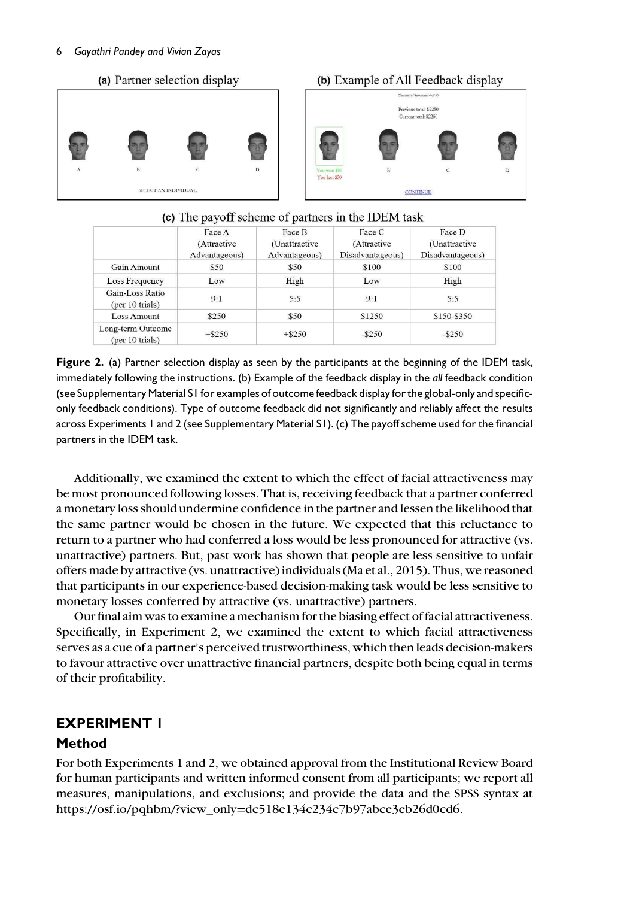#### 6 *Gayathri Pandey and Vivian Zayas*

## (a) Partner selection display



## (c) The payoff scheme of partners in the IDEM task

|                                      | Face A<br>(Attractive<br>Advantageous) | Face B<br>(Unattractive<br>Advantageous) | Face C<br>(Attractive<br>Disadvantageous) | Face D<br>(Unattractive<br>Disadvantageous) |
|--------------------------------------|----------------------------------------|------------------------------------------|-------------------------------------------|---------------------------------------------|
| Gain Amount                          | \$50                                   | \$50                                     | \$100                                     | \$100                                       |
| Loss Frequency                       | Low                                    | High                                     | Low                                       | High                                        |
| Gain-Loss Ratio<br>(per 10 trials)   | 9:1                                    | 5:5                                      | 9:1                                       | 5:5                                         |
| <b>Loss Amount</b>                   | \$250                                  | \$50                                     | \$1250                                    | \$150-\$350                                 |
| Long-term Outcome<br>(per 10 trials) | $+ $250$                               | $+$ \$250                                | $-$ \$250                                 | $-$ \$250                                   |

Figure 2. (a) Partner selection display as seen by the participants at the beginning of the IDEM task, immediately following the instructions. (b) Example of the feedback display in the *all* feedback condition (see Supplementary Material S1 for examples of outcome feedback display for the global-only and specificonly feedback conditions). Type of outcome feedback did not significantly and reliably affect the results across Experiments 1 and 2 (see Supplementary Material S1). (c) The payoff scheme used for the financial partners in the IDEM task.

Additionally, we examined the extent to which the effect of facial attractiveness may be most pronounced following losses. That is, receiving feedback that a partner conferred a monetary loss should undermine confidence in the partner and lessen the likelihood that the same partner would be chosen in the future. We expected that this reluctance to return to a partner who had conferred a loss would be less pronounced for attractive (vs. unattractive) partners. But, past work has shown that people are less sensitive to unfair offers made by attractive (vs. unattractive) individuals (Ma et al., 2015). Thus, we reasoned that participants in our experience-based decision-making task would be less sensitive to monetary losses conferred by attractive (vs. unattractive) partners.

Our final aim was to examine a mechanism for the biasing effect of facial attractiveness. Specifically, in Experiment 2, we examined the extent to which facial attractiveness serves as a cue of a partner's perceived trustworthiness, which then leads decision-makers to favour attractive over unattractive financial partners, despite both being equal in terms of their profitability.

## EXPERIMENT 1

## Method

For both Experiments 1 and 2, we obtained approval from the Institutional Review Board for human participants and written informed consent from all participants; we report all measures, manipulations, and exclusions; and provide the data and the SPSS syntax at https://osf.io/pqhbm/?view\_only=dc518e134c234c7b97abce3eb26d0cd6.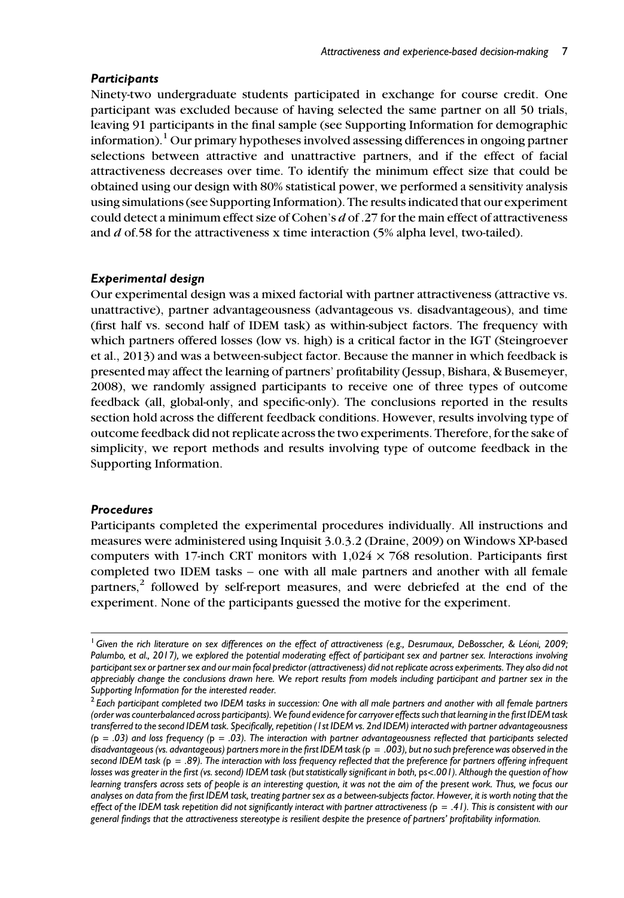## **Participants**

Ninety-two undergraduate students participated in exchange for course credit. One participant was excluded because of having selected the same partner on all 50 trials, leaving 91 participants in the final sample (see Supporting Information for demographic information).<sup>1</sup> Our primary hypotheses involved assessing differences in ongoing partner selections between attractive and unattractive partners, and if the effect of facial attractiveness decreases over time. To identify the minimum effect size that could be obtained using our design with 80% statistical power, we performed a sensitivity analysis using simulations (see Supporting Information). The results indicated that our experiment could detect a minimum effect size of Cohen's *d* of .27 for the main effect of attractiveness and *d* of.58 for the attractiveness x time interaction (5% alpha level, two-tailed).

## Experimental design

Our experimental design was a mixed factorial with partner attractiveness (attractive vs. unattractive), partner advantageousness (advantageous vs. disadvantageous), and time (first half vs. second half of IDEM task) as within-subject factors. The frequency with which partners offered losses (low vs. high) is a critical factor in the IGT (Steingroever et al., 2013) and was a between-subject factor. Because the manner in which feedback is presented may affect the learning of partners' profitability (Jessup, Bishara, & Busemeyer, 2008), we randomly assigned participants to receive one of three types of outcome feedback (all, global-only, and specific-only). The conclusions reported in the results section hold across the different feedback conditions. However, results involving type of outcome feedback did not replicate across the two experiments. Therefore, for the sake of simplicity, we report methods and results involving type of outcome feedback in the Supporting Information.

## Procedures

Participants completed the experimental procedures individually. All instructions and measures were administered using Inquisit 3.0.3.2 (Draine, 2009) on Windows XP-based computers with 17-inch CRT monitors with  $1,024 \times 768$  resolution. Participants first completed two IDEM tasks – one with all male partners and another with all female partners,<sup>2</sup> followed by self-report measures, and were debriefed at the end of the experiment. None of the participants guessed the motive for the experiment.

<sup>&</sup>lt;sup>1</sup> Given the rich literature on sex differences on the effect of attractiveness (e.g., Desrumaux, DeBosscher, & Léoni, 2009; *Palumbo, et al., 2017), we explored the potential moderating effect of participant sex and partner sex. Interactions involving participant sex or partner sex and our main focal predictor (attractiveness) did not replicate across experiments. They also did not appreciably change the conclusions drawn here. We report results from models including participant and partner sex in the Supporting Information for the interested reader.*

<sup>2</sup> *Each participant completed two IDEM tasks in succession: One with all male partners and another with all female partners (order was counterbalanced across participants). We found evidence for carryover effects such that learning in the first IDEM task transferred to the second IDEM task. Specifically, repetition (1st IDEM vs. 2nd IDEM) interacted with partner advantageousness (*p = *.03) and loss frequency (*p = *.03). The interaction with partner advantageousness reflected that participants selected disadvantageous (vs. advantageous) partners more in the first IDEM task (*p = *.003), but no such preference was observed in the second IDEM task (*p = *.89). The interaction with loss frequency reflected that the preference for partners offering infrequent losses was greater in the first (vs. second) IDEM task (but statistically significant in both,* p*s*<*.001). Although the question of how learning transfers across sets of people is an interesting question, it was not the aim of the present work. Thus, we focus our analyses on data from the first IDEM task, treating partner sex as a between-subjects factor. However, it is worth noting that the effect of the IDEM task repetition did not significantly interact with partner attractiveness (*p = *.41). This is consistent with our general findings that the attractiveness stereotype is resilient despite the presence of partners' profitability information.*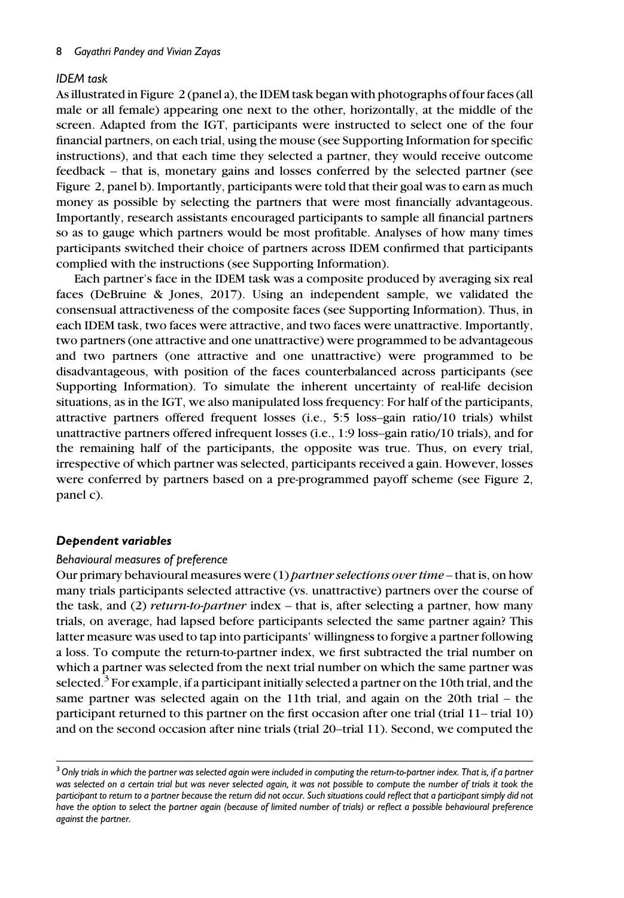## *IDEM task*

As illustrated in Figure 2 (panel a), the IDEM task began with photographs of four faces (all male or all female) appearing one next to the other, horizontally, at the middle of the screen. Adapted from the IGT, participants were instructed to select one of the four financial partners, on each trial, using the mouse (see Supporting Information for specific instructions), and that each time they selected a partner, they would receive outcome feedback – that is, monetary gains and losses conferred by the selected partner (see Figure 2, panel b). Importantly, participants were told that their goal was to earn as much money as possible by selecting the partners that were most financially advantageous. Importantly, research assistants encouraged participants to sample all financial partners so as to gauge which partners would be most profitable. Analyses of how many times participants switched their choice of partners across IDEM confirmed that participants complied with the instructions (see Supporting Information).

Each partner's face in the IDEM task was a composite produced by averaging six real faces (DeBruine & Jones, 2017). Using an independent sample, we validated the consensual attractiveness of the composite faces (see Supporting Information). Thus, in each IDEM task, two faces were attractive, and two faces were unattractive. Importantly, two partners (one attractive and one unattractive) were programmed to be advantageous and two partners (one attractive and one unattractive) were programmed to be disadvantageous, with position of the faces counterbalanced across participants (see Supporting Information). To simulate the inherent uncertainty of real-life decision situations, as in the IGT, we also manipulated loss frequency: For half of the participants, attractive partners offered frequent losses (i.e., 5:5 loss–gain ratio/10 trials) whilst unattractive partners offered infrequent losses (i.e., 1:9 loss–gain ratio/10 trials), and for the remaining half of the participants, the opposite was true. Thus, on every trial, irrespective of which partner was selected, participants received a gain. However, losses were conferred by partners based on a pre-programmed payoff scheme (see Figure 2, panel c).

## Dependent variables

## *Behavioural measures of preference*

Our primary behavioural measures were (1) *partner selections over time* – that is, on how many trials participants selected attractive (vs. unattractive) partners over the course of the task, and (2) *return-to-partner* index – that is, after selecting a partner, how many trials, on average, had lapsed before participants selected the same partner again? This latter measure was used to tap into participants' willingness to forgive a partner following a loss. To compute the return-to-partner index, we first subtracted the trial number on which a partner was selected from the next trial number on which the same partner was selected. $^{\overline{3}}$  For example, if a participant initially selected a partner on the 10th trial, and the same partner was selected again on the 11th trial, and again on the 20th trial – the participant returned to this partner on the first occasion after one trial (trial 11– trial 10) and on the second occasion after nine trials (trial 20–trial 11). Second, we computed the

<sup>3</sup>*Only trials in which the partner was selected again were included in computing the return-to-partner index. That is, if a partner was selected on a certain trial but was never selected again, it was not possible to compute the number of trials it took the participant to return to a partner because the return did not occur. Such situations could reflect that a participant simply did not have the option to select the partner again (because of limited number of trials) or reflect a possible behavioural preference against the partner.*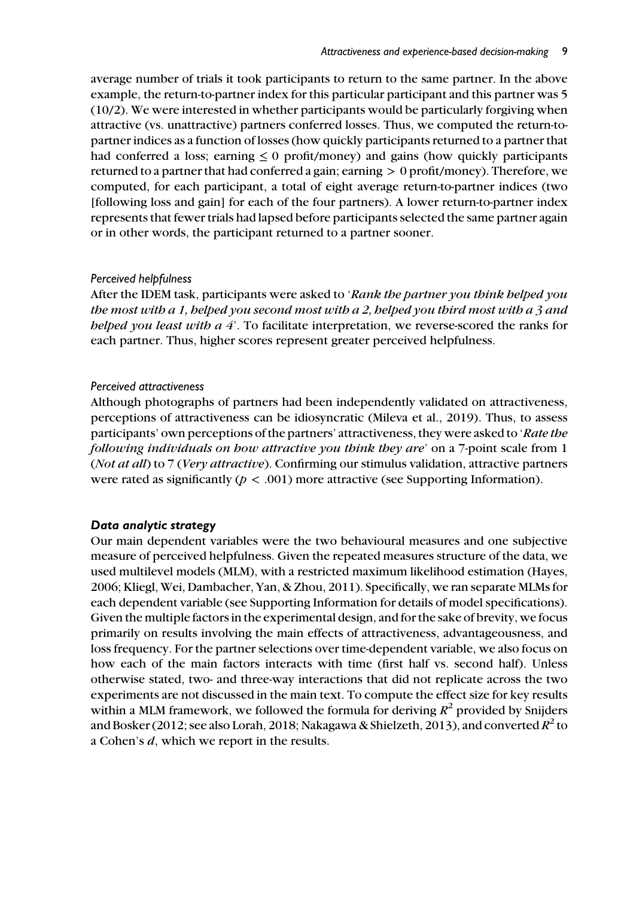average number of trials it took participants to return to the same partner. In the above example, the return-to-partner index for this particular participant and this partner was 5 (10/2). We were interested in whether participants would be particularly forgiving when attractive (vs. unattractive) partners conferred losses. Thus, we computed the return-topartner indices as a function of losses (how quickly participants returned to a partner that had conferred a loss; earning  $\leq 0$  profit/money) and gains (how quickly participants returned to a partner that had conferred a gain; earning > 0 profit/money). Therefore, we computed, for each participant, a total of eight average return-to-partner indices (two [following loss and gain] for each of the four partners). A lower return-to-partner index represents that fewer trials had lapsed before participants selected the same partner again or in other words, the participant returned to a partner sooner.

## *Perceived helpfulness*

After the IDEM task, participants were asked to '*Rank the partner you think helped you the most with a 1, helped you second most with a 2, helped you third most with a 3 and helped you least with a 4*'. To facilitate interpretation, we reverse-scored the ranks for each partner. Thus, higher scores represent greater perceived helpfulness.

## *Perceived attractiveness*

Although photographs of partners had been independently validated on attractiveness, perceptions of attractiveness can be idiosyncratic (Mileva et al., 2019). Thus, to assess participants' own perceptions of the partners' attractiveness, they were asked to '*Rate the following individuals on how attractive you think they are*' on a 7-point scale from 1 (*Not at all*) to 7 (*Very attractive*). Confirming our stimulus validation, attractive partners were rated as significantly  $(p < .001)$  more attractive (see Supporting Information).

## Data analytic strategy

Our main dependent variables were the two behavioural measures and one subjective measure of perceived helpfulness. Given the repeated measures structure of the data, we used multilevel models (MLM), with a restricted maximum likelihood estimation (Hayes, 2006; Kliegl, Wei, Dambacher, Yan, & Zhou, 2011). Specifically, we ran separate MLMs for each dependent variable (see Supporting Information for details of model specifications). Given the multiple factors in the experimental design, and for the sake of brevity, we focus primarily on results involving the main effects of attractiveness, advantageousness, and loss frequency. For the partner selections over time-dependent variable, we also focus on how each of the main factors interacts with time (first half vs. second half). Unless otherwise stated, two- and three-way interactions that did not replicate across the two experiments are not discussed in the main text. To compute the effect size for key results within a MLM framework, we followed the formula for deriving *R* 2 provided by Snijders and Bosker (2012; see also Lorah, 2018; Nakagawa & Shielzeth, 2013), and converted  $R^2$  to a Cohen's *d*, which we report in the results.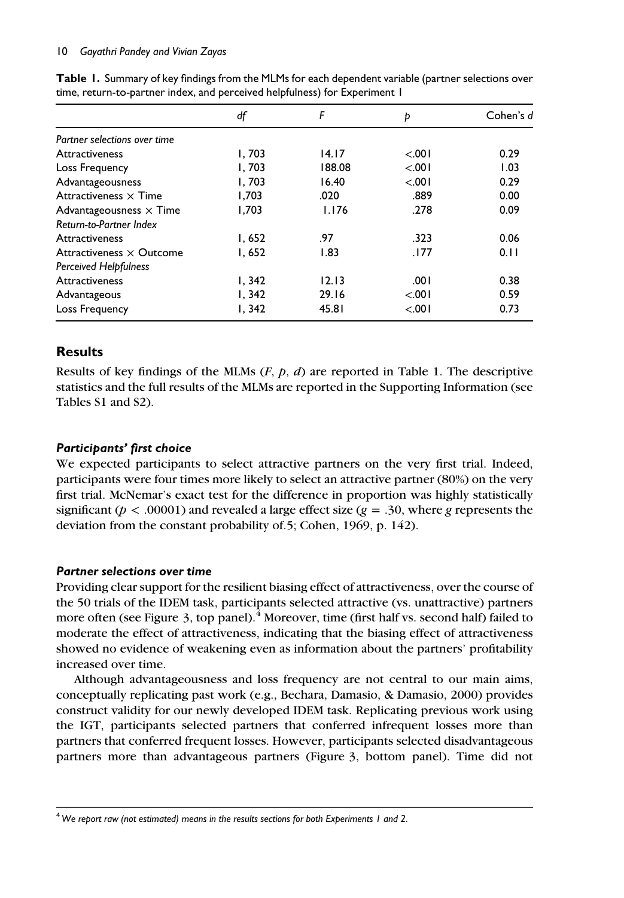#### 10 *Gayathri Pandey and Vivian Zayas*

|                                 | df     | F      | Þ      | Cohen's d |
|---------------------------------|--------|--------|--------|-----------|
| Partner selections over time    |        |        |        |           |
| <b>Attractiveness</b>           | 1.703  | 14.17  | < 001  | 0.29      |
| Loss Frequency                  | 1.703  | 188.08 | < 0.01 | 1.03      |
| Advantageousness                | 1.703  | 16.40  | < 0.01 | 0.29      |
| Attractiveness $\times$ Time    | 1.703  | .020   | .889   | 0.00      |
| Advantageousness $\times$ Time  | 1,703  | 1.176  | .278   | 0.09      |
| Return-to-Partner Index         |        |        |        |           |
| <b>Attractiveness</b>           | I, 652 | .97    | .323   | 0.06      |
| Attractiveness $\times$ Outcome | 1.652  | 1.83   | .177   | 0.11      |
| <b>Perceived Helpfulness</b>    |        |        |        |           |
| Attractiveness                  | I, 342 | 12.13  | .001   | 0.38      |
| Advantageous                    | 1,342  | 29.16  | < 0.01 | 0.59      |
| Loss Frequency                  | I, 342 | 45.81  | < .001 | 0.73      |

Table 1. Summary of key findings from the MLMs for each dependent variable (partner selections over time, return-to-partner index, and perceived helpfulness) for Experiment 1

## Results

Results of key findings of the MLMs (*F*, *p*, *d*) are reported in Table 1. The descriptive statistics and the full results of the MLMs are reported in the Supporting Information (see Tables S1 and S2).

## Participants' first choice

We expected participants to select attractive partners on the very first trial. Indeed, participants were four times more likely to select an attractive partner (80%) on the very first trial. McNemar's exact test for the difference in proportion was highly statistically significant ( $p < .00001$ ) and revealed a large effect size ( $g = .30$ , where g represents the deviation from the constant probability of.5; Cohen, 1969, p. 142).

## Partner selections over time

Providing clear support for the resilient biasing effect of attractiveness, over the course of the 50 trials of the IDEM task, participants selected attractive (vs. unattractive) partners more often (see Figure 3, top panel).<sup>4</sup> Moreover, time (first half vs. second half) failed to moderate the effect of attractiveness, indicating that the biasing effect of attractiveness showed no evidence of weakening even as information about the partners' profitability increased over time.

Although advantageousness and loss frequency are not central to our main aims, conceptually replicating past work (e.g., Bechara, Damasio, & Damasio, 2000) provides construct validity for our newly developed IDEM task. Replicating previous work using the IGT, participants selected partners that conferred infrequent losses more than partners that conferred frequent losses. However, participants selected disadvantageous partners more than advantageous partners (Figure 3, bottom panel). Time did not

<sup>4</sup>*We report raw (not estimated) means in the results sections for both Experiments 1 and 2.*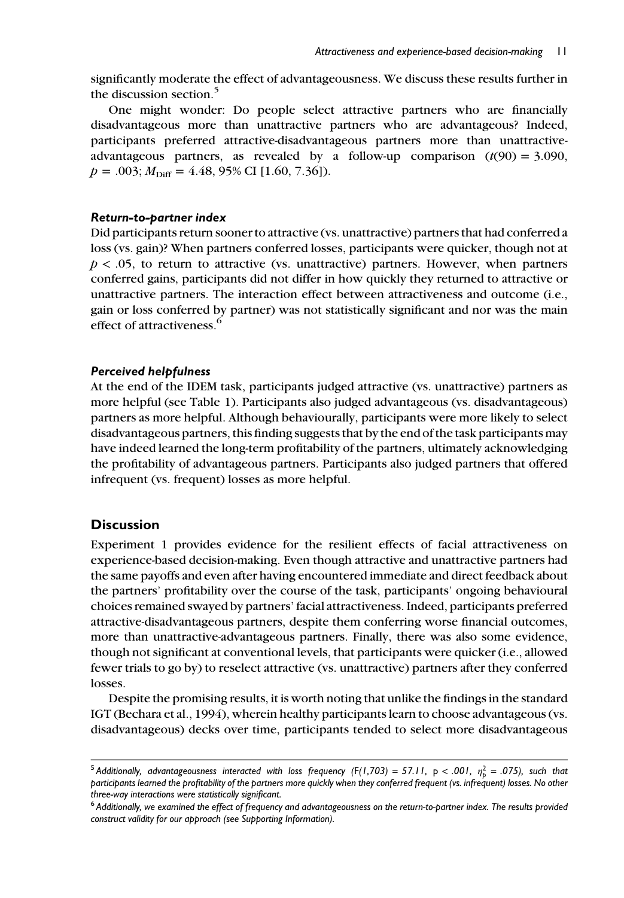significantly moderate the effect of advantageousness. We discuss these results further in the discussion section.<sup>5</sup>

One might wonder: Do people select attractive partners who are financially disadvantageous more than unattractive partners who are advantageous? Indeed, participants preferred attractive-disadvantageous partners more than unattractiveadvantageous partners, as revealed by a follow-up comparison  $(t(90) = 3.090$ ,  $p = .003; M<sub>Diff</sub> = 4.48, 95% \text{ CI}$  [1.60, 7.36]).

## Return-to-partner index

Did participants return sooner to attractive (vs. unattractive) partners that had conferred a loss (vs. gain)? When partners conferred losses, participants were quicker, though not at  $p < .05$ , to return to attractive (vs. unattractive) partners. However, when partners conferred gains, participants did not differ in how quickly they returned to attractive or unattractive partners. The interaction effect between attractiveness and outcome (i.e., gain or loss conferred by partner) was not statistically significant and nor was the main effect of attractiveness.<sup>6</sup>

## Perceived helpfulness

At the end of the IDEM task, participants judged attractive (vs. unattractive) partners as more helpful (see Table 1). Participants also judged advantageous (vs. disadvantageous) partners as more helpful. Although behaviourally, participants were more likely to select disadvantageous partners, this finding suggests that by the end of the task participants may have indeed learned the long-term profitability of the partners, ultimately acknowledging the profitability of advantageous partners. Participants also judged partners that offered infrequent (vs. frequent) losses as more helpful.

## **Discussion**

Experiment 1 provides evidence for the resilient effects of facial attractiveness on experience-based decision-making. Even though attractive and unattractive partners had the same payoffs and even after having encountered immediate and direct feedback about the partners' profitability over the course of the task, participants' ongoing behavioural choices remained swayed by partners' facial attractiveness. Indeed, participants preferred attractive-disadvantageous partners, despite them conferring worse financial outcomes, more than unattractive-advantageous partners. Finally, there was also some evidence, though not significant at conventional levels, that participants were quicker (i.e., allowed fewer trials to go by) to reselect attractive (vs. unattractive) partners after they conferred losses.

Despite the promising results, it is worth noting that unlike the findings in the standard IGT (Bechara et al., 1994), wherein healthy participants learn to choose advantageous (vs. disadvantageous) decks over time, participants tended to select more disadvantageous

 $^5$ Additionally, advantageousness interacted with loss frequency (F(1,703) = 57.11, p < .001,  $\eta_p^2$  = .075), such that *participants learned the profitability of the partners more quickly when they conferred frequent (vs. infrequent) losses. No other three-way interactions were statistically significant.*

<sup>6</sup> *Additionally, we examined the effect of frequency and advantageousness on the return-to-partner index. The results provided construct validity for our approach (see Supporting Information).*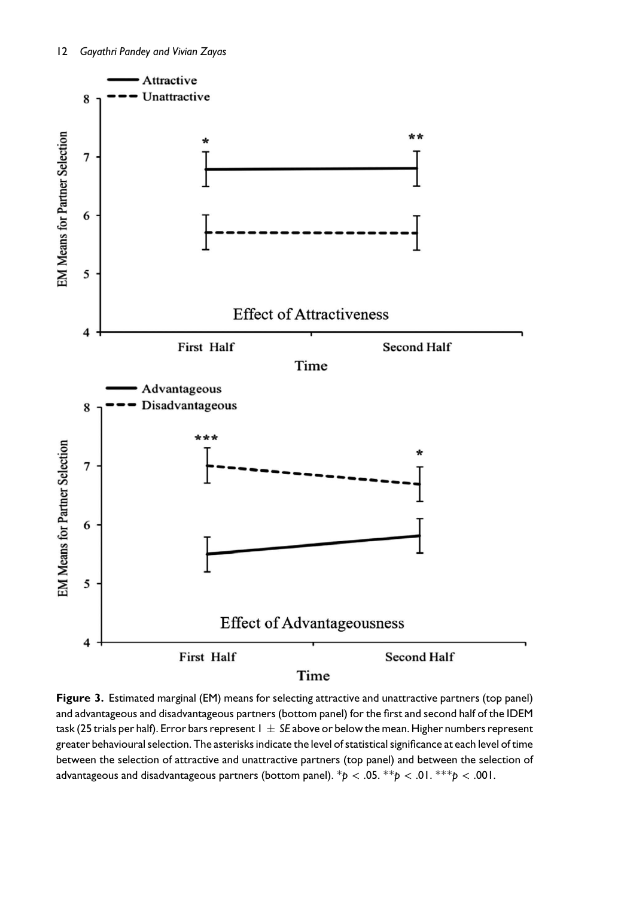

Figure 3. Estimated marginal (EM) means for selecting attractive and unattractive partners (top panel) and advantageous and disadvantageous partners (bottom panel) for the first and second half of the IDEM task (25 trials per half). Error bars represent 1 *SE* above or below the mean. Higher numbers represent greater behavioural selection. The asterisks indicate the level of statistical significance at each level of time between the selection of attractive and unattractive partners (top panel) and between the selection of advantageous and disadvantageous partners (bottom panel). \**p* < .05. \*\**p* < .01. \*\*\**p* < .001.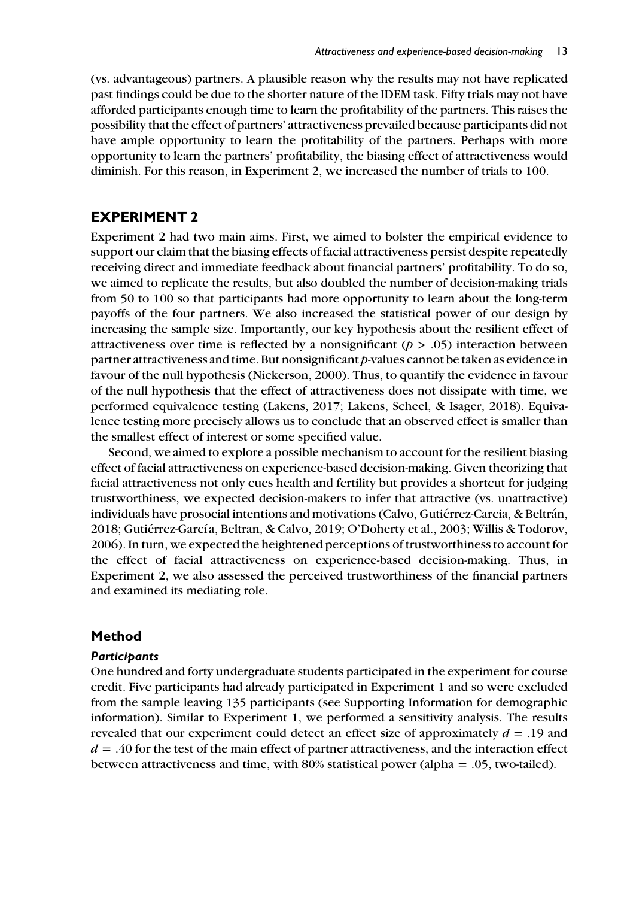(vs. advantageous) partners. A plausible reason why the results may not have replicated past findings could be due to the shorter nature of the IDEM task. Fifty trials may not have afforded participants enough time to learn the profitability of the partners. This raises the possibility that the effect of partners' attractiveness prevailed because participants did not have ample opportunity to learn the profitability of the partners. Perhaps with more opportunity to learn the partners' profitability, the biasing effect of attractiveness would diminish. For this reason, in Experiment 2, we increased the number of trials to 100.

## EXPERIMENT 2

Experiment 2 had two main aims. First, we aimed to bolster the empirical evidence to support our claim that the biasing effects of facial attractiveness persist despite repeatedly receiving direct and immediate feedback about financial partners' profitability. To do so, we aimed to replicate the results, but also doubled the number of decision-making trials from 50 to 100 so that participants had more opportunity to learn about the long-term payoffs of the four partners. We also increased the statistical power of our design by increasing the sample size. Importantly, our key hypothesis about the resilient effect of attractiveness over time is reflected by a nonsignificant  $(p > .05)$  interaction between partner attractiveness and time. But nonsignificant *p*-values cannot be taken as evidence in favour of the null hypothesis (Nickerson, 2000). Thus, to quantify the evidence in favour of the null hypothesis that the effect of attractiveness does not dissipate with time, we performed equivalence testing (Lakens, 2017; Lakens, Scheel, & Isager, 2018). Equivalence testing more precisely allows us to conclude that an observed effect is smaller than the smallest effect of interest or some specified value.

Second, we aimed to explore a possible mechanism to account for the resilient biasing effect of facial attractiveness on experience-based decision-making. Given theorizing that facial attractiveness not only cues health and fertility but provides a shortcut for judging trustworthiness, we expected decision-makers to infer that attractive (vs. unattractive) individuals have prosocial intentions and motivations (Calvo, Gutiérrez-Carcia, & Beltrán, 2018; Gutiérrez-García, Beltran, & Calvo, 2019; O'Doherty et al., 2003; Willis & Todorov, 2006). In turn, we expected the heightened perceptions of trustworthiness to account for the effect of facial attractiveness on experience-based decision-making. Thus, in Experiment 2, we also assessed the perceived trustworthiness of the financial partners and examined its mediating role.

#### Method

#### **Participants**

One hundred and forty undergraduate students participated in the experiment for course credit. Five participants had already participated in Experiment 1 and so were excluded from the sample leaving 135 participants (see Supporting Information for demographic information). Similar to Experiment 1, we performed a sensitivity analysis. The results revealed that our experiment could detect an effect size of approximately *d* = .19 and *d* = .40 for the test of the main effect of partner attractiveness, and the interaction effect between attractiveness and time, with 80% statistical power (alpha = .05, two-tailed).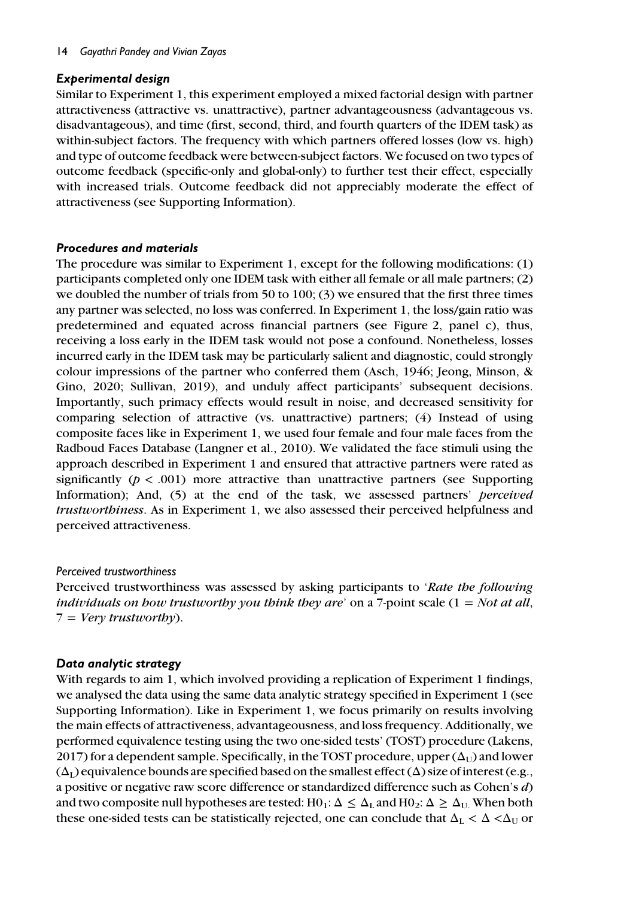## Experimental design

Similar to Experiment 1, this experiment employed a mixed factorial design with partner attractiveness (attractive vs. unattractive), partner advantageousness (advantageous vs. disadvantageous), and time (first, second, third, and fourth quarters of the IDEM task) as within-subject factors. The frequency with which partners offered losses (low vs. high) and type of outcome feedback were between-subject factors. We focused on two types of outcome feedback (specific-only and global-only) to further test their effect, especially with increased trials. Outcome feedback did not appreciably moderate the effect of attractiveness (see Supporting Information).

## Procedures and materials

The procedure was similar to Experiment 1, except for the following modifications: (1) participants completed only one IDEM task with either all female or all male partners; (2) we doubled the number of trials from 50 to 100; (3) we ensured that the first three times any partner was selected, no loss was conferred. In Experiment 1, the loss/gain ratio was predetermined and equated across financial partners (see Figure 2, panel c), thus, receiving a loss early in the IDEM task would not pose a confound. Nonetheless, losses incurred early in the IDEM task may be particularly salient and diagnostic, could strongly colour impressions of the partner who conferred them (Asch, 1946; Jeong, Minson, & Gino, 2020; Sullivan, 2019), and unduly affect participants' subsequent decisions. Importantly, such primacy effects would result in noise, and decreased sensitivity for comparing selection of attractive (vs. unattractive) partners; (4) Instead of using composite faces like in Experiment 1, we used four female and four male faces from the Radboud Faces Database (Langner et al., 2010). We validated the face stimuli using the approach described in Experiment 1 and ensured that attractive partners were rated as significantly  $(p < .001)$  more attractive than unattractive partners (see Supporting Information); And, (5) at the end of the task, we assessed partners' *perceived trustworthiness*. As in Experiment 1, we also assessed their perceived helpfulness and perceived attractiveness.

## *Perceived trustworthiness*

Perceived trustworthiness was assessed by asking participants to '*Rate the following individuals on how trustworthy you think they are*' on a 7-point scale (1 = *Not at all*, 7 = *Very trustworthy*).

## Data analytic strategy

With regards to aim 1, which involved providing a replication of Experiment 1 findings, we analysed the data using the same data analytic strategy specified in Experiment 1 (see Supporting Information). Like in Experiment 1, we focus primarily on results involving the main effects of attractiveness, advantageousness, and loss frequency. Additionally, we performed equivalence testing using the two one-sided tests' (TOST) procedure (Lakens, 2017) for a dependent sample. Specifically, in the TOST procedure, upper  $(\Delta_{U})$  and lower  $(\Delta_{\rm L})$  equivalence bounds are specified based on the smallest effect  $(\Delta)$  size of interest (e.g., a positive or negative raw score difference or standardized difference such as Cohen's *d*) and two composite null hypotheses are tested: H0<sub>1</sub>:  $\Delta \leq \Delta_I$  and H0<sub>2</sub>:  $\Delta \geq \Delta_I$  When both these one-sided tests can be statistically rejected, one can conclude that  $\Delta_{\rm L} < \Delta < \Delta_{\rm U}$  or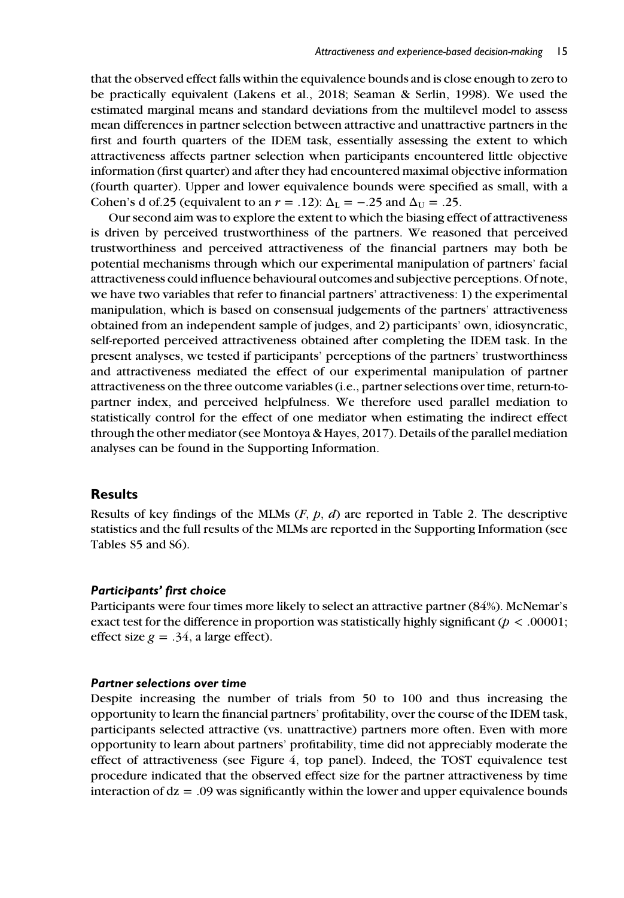that the observed effect falls within the equivalence bounds and is close enough to zero to be practically equivalent (Lakens et al., 2018; Seaman & Serlin, 1998). We used the estimated marginal means and standard deviations from the multilevel model to assess mean differences in partner selection between attractive and unattractive partners in the first and fourth quarters of the IDEM task, essentially assessing the extent to which attractiveness affects partner selection when participants encountered little objective information (first quarter) and after they had encountered maximal objective information (fourth quarter). Upper and lower equivalence bounds were specified as small, with a Cohen's d of.25 (equivalent to an  $r = .12$ ):  $\Delta_{\text{L}} = -.25$  and  $\Delta_{\text{U}} = .25$ .

Our second aim was to explore the extent to which the biasing effect of attractiveness is driven by perceived trustworthiness of the partners. We reasoned that perceived trustworthiness and perceived attractiveness of the financial partners may both be potential mechanisms through which our experimental manipulation of partners' facial attractiveness could influence behavioural outcomes and subjective perceptions. Of note, we have two variables that refer to financial partners' attractiveness: 1) the experimental manipulation, which is based on consensual judgements of the partners' attractiveness obtained from an independent sample of judges, and 2) participants' own, idiosyncratic, self-reported perceived attractiveness obtained after completing the IDEM task. In the present analyses, we tested if participants' perceptions of the partners' trustworthiness and attractiveness mediated the effect of our experimental manipulation of partner attractiveness on the three outcome variables (i.e., partner selections over time, return-topartner index, and perceived helpfulness. We therefore used parallel mediation to statistically control for the effect of one mediator when estimating the indirect effect through the other mediator (see Montoya & Hayes, 2017). Details of the parallel mediation analyses can be found in the Supporting Information.

#### **Results**

Results of key findings of the MLMs (*F*, *p*, *d*) are reported in Table 2. The descriptive statistics and the full results of the MLMs are reported in the Supporting Information (see Tables S5 and S6).

#### Participants' first choice

Participants were four times more likely to select an attractive partner (84%). McNemar's exact test for the difference in proportion was statistically highly significant ( $p < .00001$ ; effect size  $g = .34$ , a large effect).

### Partner selections over time

Despite increasing the number of trials from 50 to 100 and thus increasing the opportunity to learn the financial partners' profitability, over the course of the IDEM task, participants selected attractive (vs. unattractive) partners more often. Even with more opportunity to learn about partners' profitability, time did not appreciably moderate the effect of attractiveness (see Figure 4, top panel). Indeed, the TOST equivalence test procedure indicated that the observed effect size for the partner attractiveness by time interaction of  $dz = .09$  was significantly within the lower and upper equivalence bounds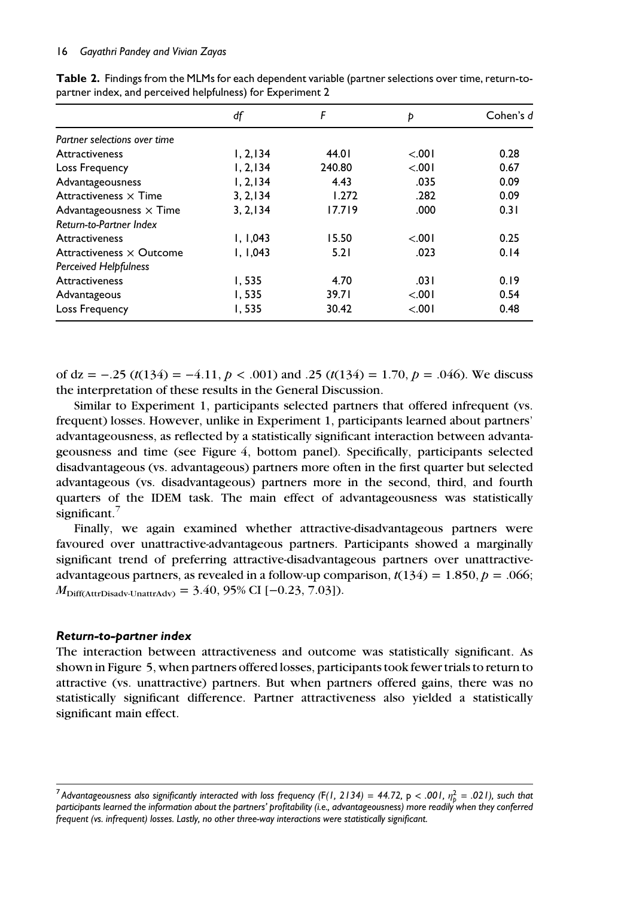|                                | df        | F      | Þ       | Cohen's d |
|--------------------------------|-----------|--------|---------|-----------|
| Partner selections over time   |           |        |         |           |
| <b>Attractiveness</b>          | 1, 2, 134 | 44.01  | < .001  | 0.28      |
| Loss Frequency                 | 1, 2, 134 | 240.80 | < 0.01  | 0.67      |
| Advantageousness               | 1, 2, 134 | 4.43   | .035    | 0.09      |
| Attractiveness $\times$ Time   | 3, 2, 134 | 1.272  | .282    | 0.09      |
| Advantageousness $\times$ Time | 3, 2, 134 | 17.719 | .000    | 0.31      |
| Return-to-Partner Index        |           |        |         |           |
| Attractiveness                 | 1, 1,043  | 15.50  | < 0.001 | 0.25      |
| Attractiveness × Outcome       | 1, 1,043  | 5.21   | .023    | 0.14      |
| <b>Perceived Helpfulness</b>   |           |        |         |           |
| Attractiveness                 | 1,535     | 4.70   | .031    | 0.19      |
| Advantageous                   | 1,535     | 39.71  | < 0.01  | 0.54      |
| Loss Frequency                 | 1,535     | 30.42  | < .001  | 0.48      |

Table 2. Findings from the MLMs for each dependent variable (partner selections over time, return-topartner index, and perceived helpfulness) for Experiment 2

of dz = −.25 (*t*(134) = −4.11, *p* < .001) and .25 (*t*(134) = 1.70, *p* = .046). We discuss the interpretation of these results in the General Discussion.

Similar to Experiment 1, participants selected partners that offered infrequent (vs. frequent) losses. However, unlike in Experiment 1, participants learned about partners' advantageousness, as reflected by a statistically significant interaction between advantageousness and time (see Figure 4, bottom panel). Specifically, participants selected disadvantageous (vs. advantageous) partners more often in the first quarter but selected advantageous (vs. disadvantageous) partners more in the second, third, and fourth quarters of the IDEM task. The main effect of advantageousness was statistically significant. $<sup>7</sup>$ </sup>

Finally, we again examined whether attractive-disadvantageous partners were favoured over unattractive-advantageous partners. Participants showed a marginally significant trend of preferring attractive-disadvantageous partners over unattractiveadvantageous partners, as revealed in a follow-up comparison,  $t(134) = 1.850$ ,  $p = .066$ ;  $M_{\text{Diff(AttrDisadv-UnattrAdv)}} = 3.40, 95\% \text{ CI } [-0.23, 7.03]$ .

#### Return-to-partner index

The interaction between attractiveness and outcome was statistically significant. As shown in Figure 5, when partners offered losses, participants took fewer trials to return to attractive (vs. unattractive) partners. But when partners offered gains, there was no statistically significant difference. Partner attractiveness also yielded a statistically significant main effect.

 $^7$ Advantageousness also significantly interacted with loss frequency (F(1, 2134) = 44.72, p <  $.001$ ,  $\eta_p^2$  =  $.021$ ), such that *participants learned the information about the partners' profitability (i.e., advantageousness) more readily when they conferred frequent (vs. infrequent) losses. Lastly, no other three-way interactions were statistically significant.*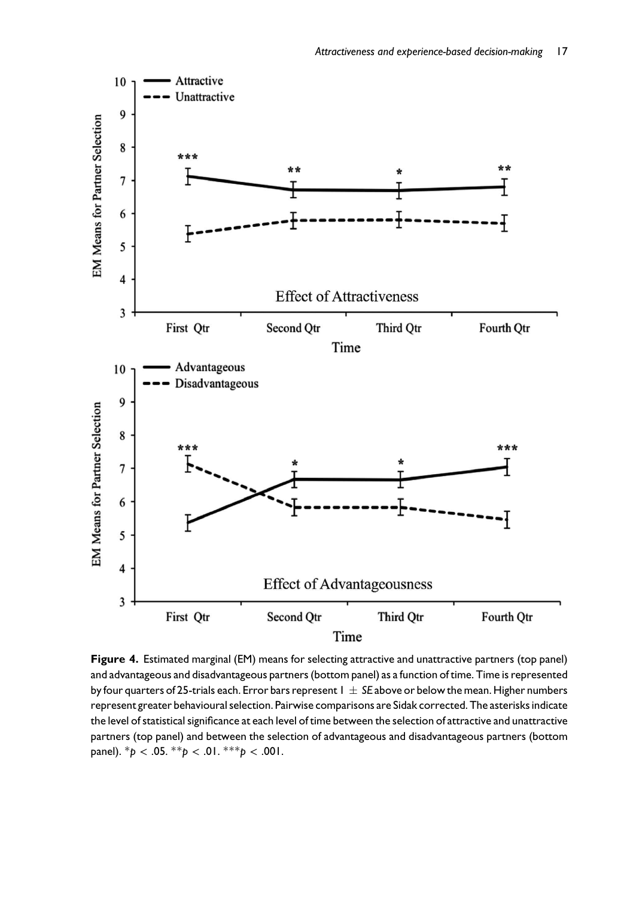

Figure 4. Estimated marginal (EM) means for selecting attractive and unattractive partners (top panel) and advantageous and disadvantageous partners (bottom panel) as a function of time. Time is represented by four quarters of 25-trials each. Error bars represent 1 *SE* above or below the mean. Higher numbers represent greater behavioural selection. Pairwise comparisons are Sidak corrected. The asterisks indicate the level of statistical significance at each level of time between the selection of attractive and unattractive partners (top panel) and between the selection of advantageous and disadvantageous partners (bottom panel).  ${}^*\rho$  < .05.  ${}^{**}\rho$  < .01.  ${}^{***}\rho$  < .001.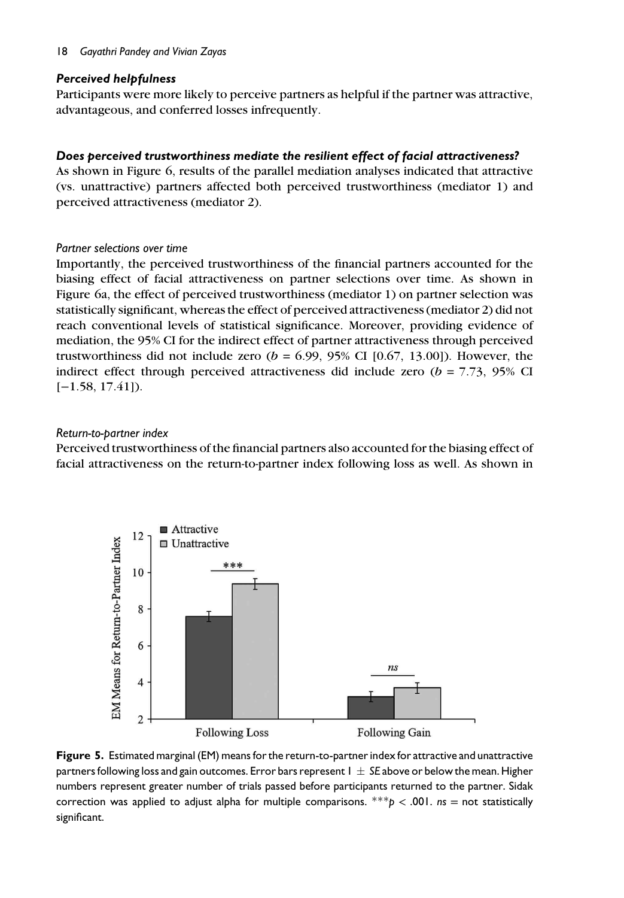#### 18 *Gayathri Pandey and Vivian Zayas*

### Perceived helpfulness

Participants were more likely to perceive partners as helpful if the partner was attractive, advantageous, and conferred losses infrequently.

## Does perceived trustworthiness mediate the resilient effect of facial attractiveness?

As shown in Figure 6, results of the parallel mediation analyses indicated that attractive (vs. unattractive) partners affected both perceived trustworthiness (mediator 1) and perceived attractiveness (mediator 2).

#### *Partner selections over time*

Importantly, the perceived trustworthiness of the financial partners accounted for the biasing effect of facial attractiveness on partner selections over time. As shown in Figure 6a, the effect of perceived trustworthiness (mediator 1) on partner selection was statistically significant, whereas the effect of perceived attractiveness (mediator 2) did not reach conventional levels of statistical significance. Moreover, providing evidence of mediation, the 95% CI for the indirect effect of partner attractiveness through perceived trustworthiness did not include zero  $(b = 6.99, 95\% \text{ CI } [0.67, 13.00]$ . However, the indirect effect through perceived attractiveness did include zero  $(b = 7.73, 95\%$  CI  $[-1.58, 17.41]$ .

#### *Return-to-partner index*

Perceived trustworthiness of the financial partners also accounted for the biasing effect of facial attractiveness on the return-to-partner index following loss as well. As shown in



Figure 5. Estimated marginal (EM) means for the return-to-partner index for attractive and unattractive partners following loss and gain outcomes. Error bars represent  $1 \pm S$ E above or below the mean. Higher numbers represent greater number of trials passed before participants returned to the partner. Sidak correction was applied to adjust alpha for multiple comparisons. \*\*\**p* < .001. *ns* = not statistically significant.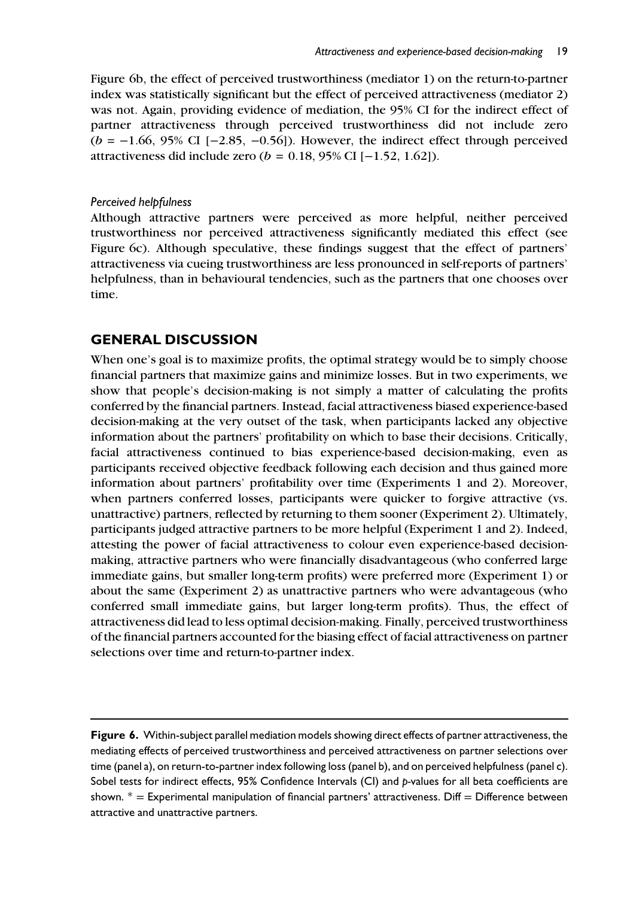Figure 6b, the effect of perceived trustworthiness (mediator 1) on the return-to-partner index was statistically significant but the effect of perceived attractiveness (mediator 2) was not. Again, providing evidence of mediation, the 95% CI for the indirect effect of partner attractiveness through perceived trustworthiness did not include zero (*b* = −1.66, 95% CI [−2.85, −0.56]). However, the indirect effect through perceived attractiveness did include zero (*b* = 0.18, 95% CI [−1.52, 1.62]).

#### *Perceived helpfulness*

Although attractive partners were perceived as more helpful, neither perceived trustworthiness nor perceived attractiveness significantly mediated this effect (see Figure 6c). Although speculative, these findings suggest that the effect of partners' attractiveness via cueing trustworthiness are less pronounced in self-reports of partners' helpfulness, than in behavioural tendencies, such as the partners that one chooses over time.

## GENERAL DISCUSSION

When one's goal is to maximize profits, the optimal strategy would be to simply choose financial partners that maximize gains and minimize losses. But in two experiments, we show that people's decision-making is not simply a matter of calculating the profits conferred by the financial partners. Instead, facial attractiveness biased experience-based decision-making at the very outset of the task, when participants lacked any objective information about the partners' profitability on which to base their decisions. Critically, facial attractiveness continued to bias experience-based decision-making, even as participants received objective feedback following each decision and thus gained more information about partners' profitability over time (Experiments 1 and 2). Moreover, when partners conferred losses, participants were quicker to forgive attractive (vs. unattractive) partners, reflected by returning to them sooner (Experiment 2). Ultimately, participants judged attractive partners to be more helpful (Experiment 1 and 2). Indeed, attesting the power of facial attractiveness to colour even experience-based decisionmaking, attractive partners who were financially disadvantageous (who conferred large immediate gains, but smaller long-term profits) were preferred more (Experiment 1) or about the same (Experiment 2) as unattractive partners who were advantageous (who conferred small immediate gains, but larger long-term profits). Thus, the effect of attractiveness did lead to less optimal decision-making. Finally, perceived trustworthiness of the financial partners accounted for the biasing effect of facial attractiveness on partner selections over time and return-to-partner index.

Figure 6. Within-subject parallel mediation models showing direct effects of partner attractiveness, the mediating effects of perceived trustworthiness and perceived attractiveness on partner selections over time (panel a), on return-to-partner index following loss (panel b), and on perceived helpfulness (panel c). Sobel tests for indirect effects, 95% Confidence Intervals (CI) and *p-*values for all beta coefficients are shown.  $* =$  Experimental manipulation of financial partners' attractiveness. Diff = Difference between attractive and unattractive partners.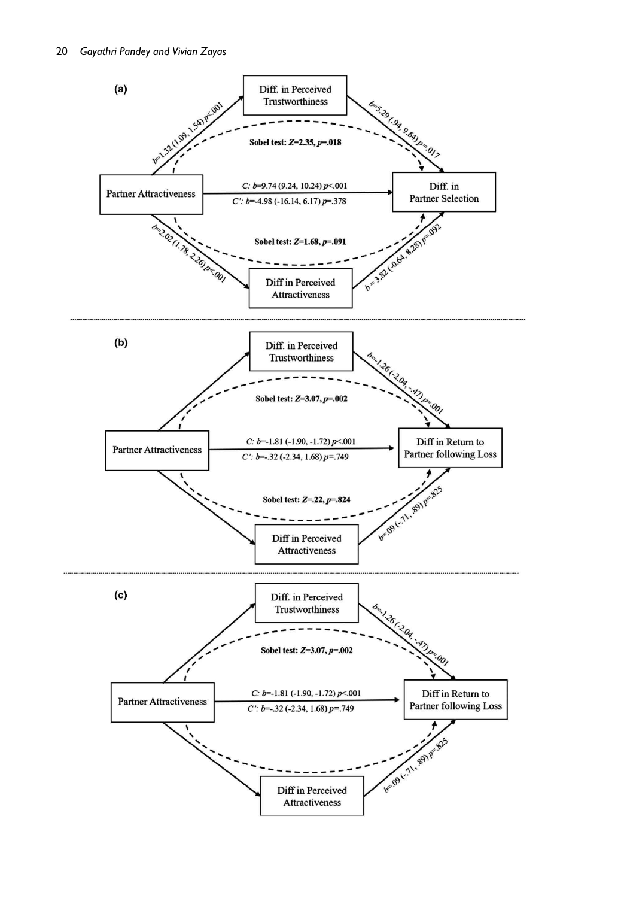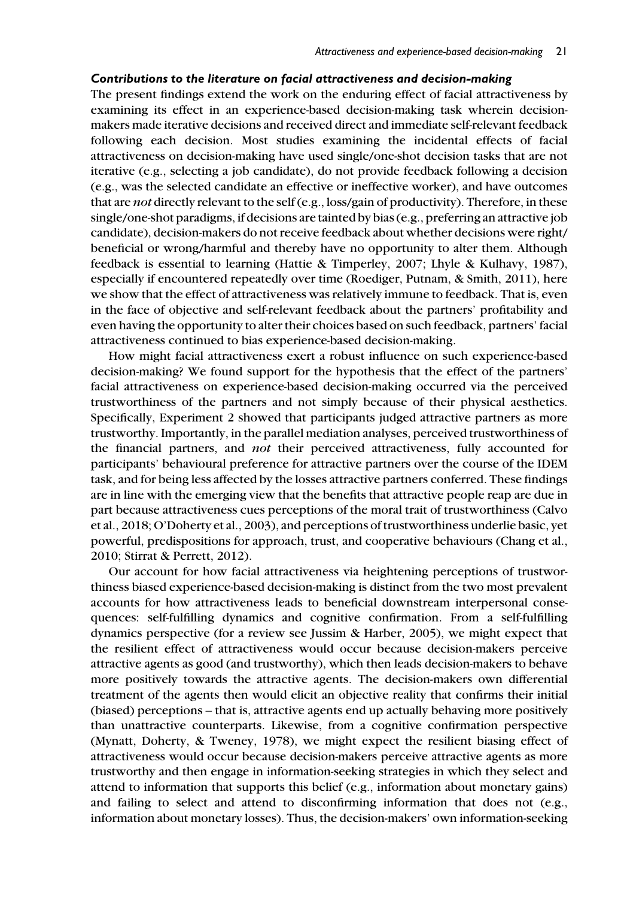#### Contributions to the literature on facial attractiveness and decision-making

The present findings extend the work on the enduring effect of facial attractiveness by examining its effect in an experience-based decision-making task wherein decisionmakers made iterative decisions and received direct and immediate self-relevant feedback following each decision. Most studies examining the incidental effects of facial attractiveness on decision-making have used single/one-shot decision tasks that are not iterative (e.g., selecting a job candidate), do not provide feedback following a decision (e.g., was the selected candidate an effective or ineffective worker), and have outcomes that are *not* directly relevant to the self (e.g., loss/gain of productivity). Therefore, in these single/one-shot paradigms, if decisions are tainted by bias (e.g., preferring an attractive job candidate), decision-makers do not receive feedback about whether decisions were right/ beneficial or wrong/harmful and thereby have no opportunity to alter them. Although feedback is essential to learning (Hattie & Timperley, 2007; Lhyle & Kulhavy, 1987), especially if encountered repeatedly over time (Roediger, Putnam, & Smith, 2011), here we show that the effect of attractiveness was relatively immune to feedback. That is, even in the face of objective and self-relevant feedback about the partners' profitability and even having the opportunity to alter their choices based on such feedback, partners' facial attractiveness continued to bias experience-based decision-making.

How might facial attractiveness exert a robust influence on such experience-based decision-making? We found support for the hypothesis that the effect of the partners' facial attractiveness on experience-based decision-making occurred via the perceived trustworthiness of the partners and not simply because of their physical aesthetics. Specifically, Experiment 2 showed that participants judged attractive partners as more trustworthy. Importantly, in the parallel mediation analyses, perceived trustworthiness of the financial partners, and *not* their perceived attractiveness, fully accounted for participants' behavioural preference for attractive partners over the course of the IDEM task, and for being less affected by the losses attractive partners conferred. These findings are in line with the emerging view that the benefits that attractive people reap are due in part because attractiveness cues perceptions of the moral trait of trustworthiness (Calvo et al., 2018; O'Doherty et al., 2003), and perceptions of trustworthiness underlie basic, yet powerful, predispositions for approach, trust, and cooperative behaviours (Chang et al., 2010; Stirrat & Perrett, 2012).

Our account for how facial attractiveness via heightening perceptions of trustworthiness biased experience-based decision-making is distinct from the two most prevalent accounts for how attractiveness leads to beneficial downstream interpersonal consequences: self-fulfilling dynamics and cognitive confirmation. From a self-fulfilling dynamics perspective (for a review see Jussim & Harber, 2005), we might expect that the resilient effect of attractiveness would occur because decision-makers perceive attractive agents as good (and trustworthy), which then leads decision-makers to behave more positively towards the attractive agents. The decision-makers own differential treatment of the agents then would elicit an objective reality that confirms their initial (biased) perceptions – that is, attractive agents end up actually behaving more positively than unattractive counterparts. Likewise, from a cognitive confirmation perspective (Mynatt, Doherty, & Tweney, 1978), we might expect the resilient biasing effect of attractiveness would occur because decision-makers perceive attractive agents as more trustworthy and then engage in information-seeking strategies in which they select and attend to information that supports this belief (e.g., information about monetary gains) and failing to select and attend to disconfirming information that does not (e.g., information about monetary losses). Thus, the decision-makers' own information-seeking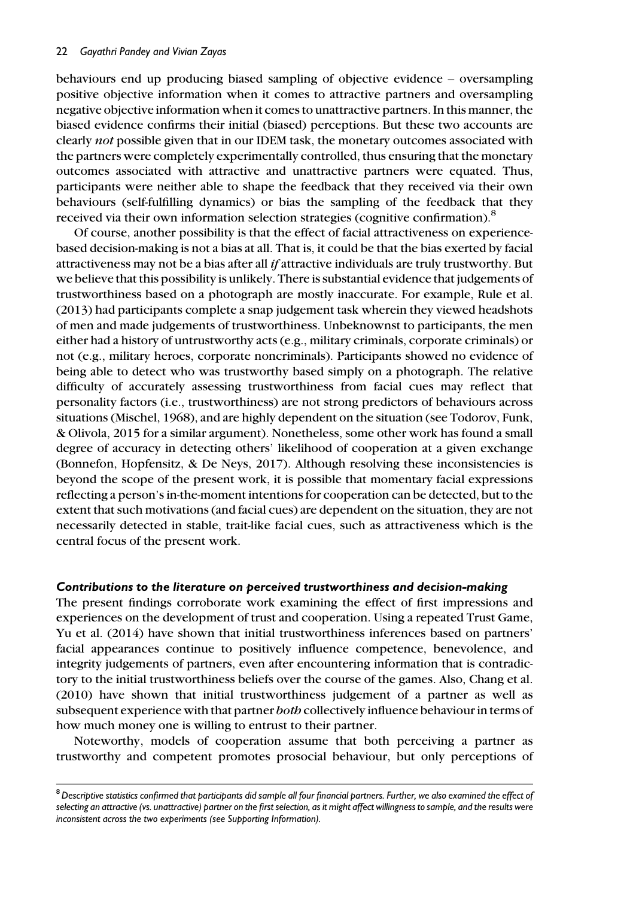behaviours end up producing biased sampling of objective evidence – oversampling positive objective information when it comes to attractive partners and oversampling negative objective information when it comes to unattractive partners. In this manner, the biased evidence confirms their initial (biased) perceptions. But these two accounts are clearly *not* possible given that in our IDEM task, the monetary outcomes associated with the partners were completely experimentally controlled, thus ensuring that the monetary outcomes associated with attractive and unattractive partners were equated. Thus, participants were neither able to shape the feedback that they received via their own behaviours (self-fulfilling dynamics) or bias the sampling of the feedback that they received via their own information selection strategies (cognitive confirmation).<sup>8</sup>

Of course, another possibility is that the effect of facial attractiveness on experiencebased decision-making is not a bias at all. That is, it could be that the bias exerted by facial attractiveness may not be a bias after all *if* attractive individuals are truly trustworthy. But we believe that this possibility is unlikely. There is substantial evidence that judgements of trustworthiness based on a photograph are mostly inaccurate. For example, Rule et al. (2013) had participants complete a snap judgement task wherein they viewed headshots of men and made judgements of trustworthiness. Unbeknownst to participants, the men either had a history of untrustworthy acts (e.g., military criminals, corporate criminals) or not (e.g., military heroes, corporate noncriminals). Participants showed no evidence of being able to detect who was trustworthy based simply on a photograph. The relative difficulty of accurately assessing trustworthiness from facial cues may reflect that personality factors (i.e., trustworthiness) are not strong predictors of behaviours across situations (Mischel, 1968), and are highly dependent on the situation (see Todorov, Funk, & Olivola, 2015 for a similar argument). Nonetheless, some other work has found a small degree of accuracy in detecting others' likelihood of cooperation at a given exchange (Bonnefon, Hopfensitz, & De Neys, 2017). Although resolving these inconsistencies is beyond the scope of the present work, it is possible that momentary facial expressions reflecting a person's in-the-moment intentions for cooperation can be detected, but to the extent that such motivations (and facial cues) are dependent on the situation, they are not necessarily detected in stable, trait-like facial cues, such as attractiveness which is the central focus of the present work.

#### Contributions to the literature on perceived trustworthiness and decision-making

The present findings corroborate work examining the effect of first impressions and experiences on the development of trust and cooperation. Using a repeated Trust Game, Yu et al. (2014) have shown that initial trustworthiness inferences based on partners' facial appearances continue to positively influence competence, benevolence, and integrity judgements of partners, even after encountering information that is contradictory to the initial trustworthiness beliefs over the course of the games. Also, Chang et al. (2010) have shown that initial trustworthiness judgement of a partner as well as subsequent experience with that partner *both* collectively influence behaviour in terms of how much money one is willing to entrust to their partner.

Noteworthy, models of cooperation assume that both perceiving a partner as trustworthy and competent promotes prosocial behaviour, but only perceptions of

<sup>8</sup>*Descriptive statistics confirmed that participants did sample all four financial partners. Further, we also examined the effect of selecting an attractive (vs. unattractive) partner on the first selection, as it might affect willingness to sample, and the results were inconsistent across the two experiments (see Supporting Information).*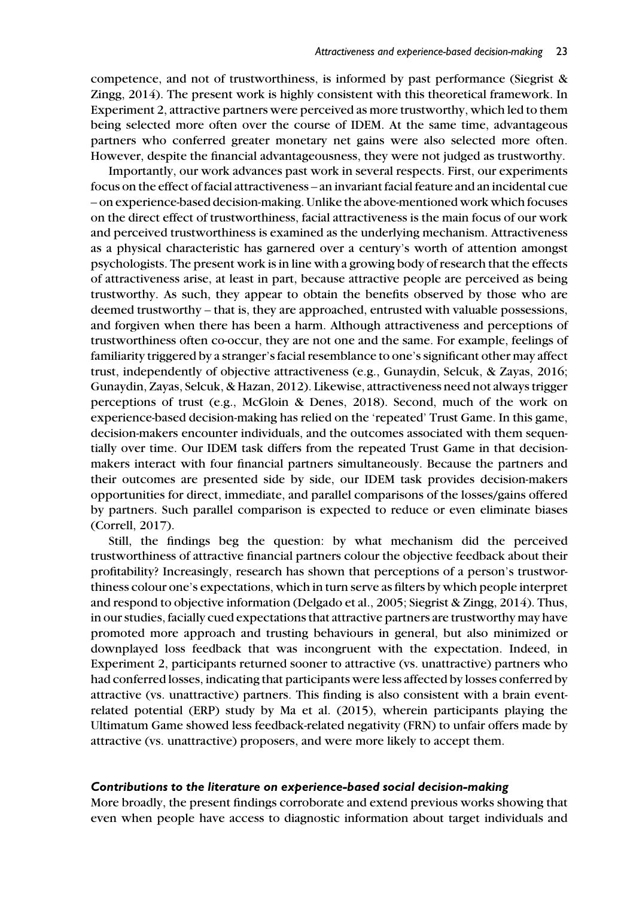competence, and not of trustworthiness, is informed by past performance (Siegrist & Zingg, 2014). The present work is highly consistent with this theoretical framework. In Experiment 2, attractive partners were perceived as more trustworthy, which led to them being selected more often over the course of IDEM. At the same time, advantageous partners who conferred greater monetary net gains were also selected more often. However, despite the financial advantageousness, they were not judged as trustworthy.

Importantly, our work advances past work in several respects. First, our experiments focus on the effect of facial attractiveness – an invariant facial feature and an incidental cue – on experience-based decision-making. Unlike the above-mentioned work which focuses on the direct effect of trustworthiness, facial attractiveness is the main focus of our work and perceived trustworthiness is examined as the underlying mechanism. Attractiveness as a physical characteristic has garnered over a century's worth of attention amongst psychologists. The present work is in line with a growing body of research that the effects of attractiveness arise, at least in part, because attractive people are perceived as being trustworthy. As such, they appear to obtain the benefits observed by those who are deemed trustworthy – that is, they are approached, entrusted with valuable possessions, and forgiven when there has been a harm. Although attractiveness and perceptions of trustworthiness often co-occur, they are not one and the same. For example, feelings of familiarity triggered by a stranger's facial resemblance to one's significant other may affect trust, independently of objective attractiveness (e.g., Gunaydin, Selcuk, & Zayas, 2016; Gunaydin, Zayas, Selcuk, & Hazan, 2012). Likewise, attractiveness need not always trigger perceptions of trust (e.g., McGloin & Denes, 2018). Second, much of the work on experience-based decision-making has relied on the 'repeated' Trust Game. In this game, decision-makers encounter individuals, and the outcomes associated with them sequentially over time. Our IDEM task differs from the repeated Trust Game in that decisionmakers interact with four financial partners simultaneously. Because the partners and their outcomes are presented side by side, our IDEM task provides decision-makers opportunities for direct, immediate, and parallel comparisons of the losses/gains offered by partners. Such parallel comparison is expected to reduce or even eliminate biases (Correll, 2017).

Still, the findings beg the question: by what mechanism did the perceived trustworthiness of attractive financial partners colour the objective feedback about their profitability? Increasingly, research has shown that perceptions of a person's trustworthiness colour one's expectations, which in turn serve as filters by which people interpret and respond to objective information (Delgado et al., 2005; Siegrist & Zingg, 2014). Thus, in our studies, facially cued expectations that attractive partners are trustworthy may have promoted more approach and trusting behaviours in general, but also minimized or downplayed loss feedback that was incongruent with the expectation. Indeed, in Experiment 2, participants returned sooner to attractive (vs. unattractive) partners who had conferred losses, indicating that participants were less affected by losses conferred by attractive (vs. unattractive) partners. This finding is also consistent with a brain eventrelated potential (ERP) study by Ma et al. (2015), wherein participants playing the Ultimatum Game showed less feedback-related negativity (FRN) to unfair offers made by attractive (vs. unattractive) proposers, and were more likely to accept them.

#### Contributions to the literature on experience-based social decision-making

More broadly, the present findings corroborate and extend previous works showing that even when people have access to diagnostic information about target individuals and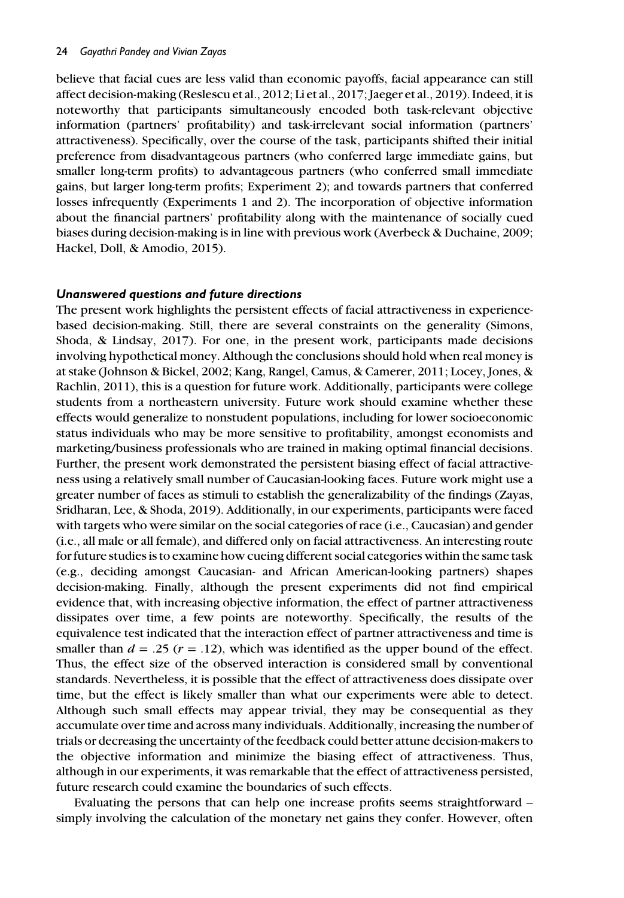believe that facial cues are less valid than economic payoffs, facial appearance can still affect decision-making (Reslescu et al., 2012; Li et al., 2017; Jaeger et al., 2019). Indeed, it is noteworthy that participants simultaneously encoded both task-relevant objective information (partners' profitability) and task-irrelevant social information (partners' attractiveness). Specifically, over the course of the task, participants shifted their initial preference from disadvantageous partners (who conferred large immediate gains, but smaller long-term profits) to advantageous partners (who conferred small immediate gains, but larger long-term profits; Experiment 2); and towards partners that conferred losses infrequently (Experiments 1 and 2). The incorporation of objective information about the financial partners' profitability along with the maintenance of socially cued biases during decision-making is in line with previous work (Averbeck & Duchaine, 2009; Hackel, Doll, & Amodio, 2015).

## Unanswered questions and future directions

The present work highlights the persistent effects of facial attractiveness in experiencebased decision-making. Still, there are several constraints on the generality (Simons, Shoda, & Lindsay, 2017). For one, in the present work, participants made decisions involving hypothetical money. Although the conclusions should hold when real money is at stake (Johnson & Bickel, 2002; Kang, Rangel, Camus, & Camerer, 2011; Locey, Jones, & Rachlin, 2011), this is a question for future work. Additionally, participants were college students from a northeastern university. Future work should examine whether these effects would generalize to nonstudent populations, including for lower socioeconomic status individuals who may be more sensitive to profitability, amongst economists and marketing/business professionals who are trained in making optimal financial decisions. Further, the present work demonstrated the persistent biasing effect of facial attractiveness using a relatively small number of Caucasian-looking faces. Future work might use a greater number of faces as stimuli to establish the generalizability of the findings (Zayas, Sridharan, Lee, & Shoda, 2019). Additionally, in our experiments, participants were faced with targets who were similar on the social categories of race (i.e., Caucasian) and gender (i.e., all male or all female), and differed only on facial attractiveness. An interesting route for future studies is to examine how cueing different social categories within the same task (e.g., deciding amongst Caucasian- and African American-looking partners) shapes decision-making. Finally, although the present experiments did not find empirical evidence that, with increasing objective information, the effect of partner attractiveness dissipates over time, a few points are noteworthy. Specifically, the results of the equivalence test indicated that the interaction effect of partner attractiveness and time is smaller than  $d = .25$  ( $r = .12$ ), which was identified as the upper bound of the effect. Thus, the effect size of the observed interaction is considered small by conventional standards. Nevertheless, it is possible that the effect of attractiveness does dissipate over time, but the effect is likely smaller than what our experiments were able to detect. Although such small effects may appear trivial, they may be consequential as they accumulate over time and across many individuals. Additionally, increasing the number of trials or decreasing the uncertainty of the feedback could better attune decision-makers to the objective information and minimize the biasing effect of attractiveness. Thus, although in our experiments, it was remarkable that the effect of attractiveness persisted, future research could examine the boundaries of such effects.

Evaluating the persons that can help one increase profits seems straightforward – simply involving the calculation of the monetary net gains they confer. However, often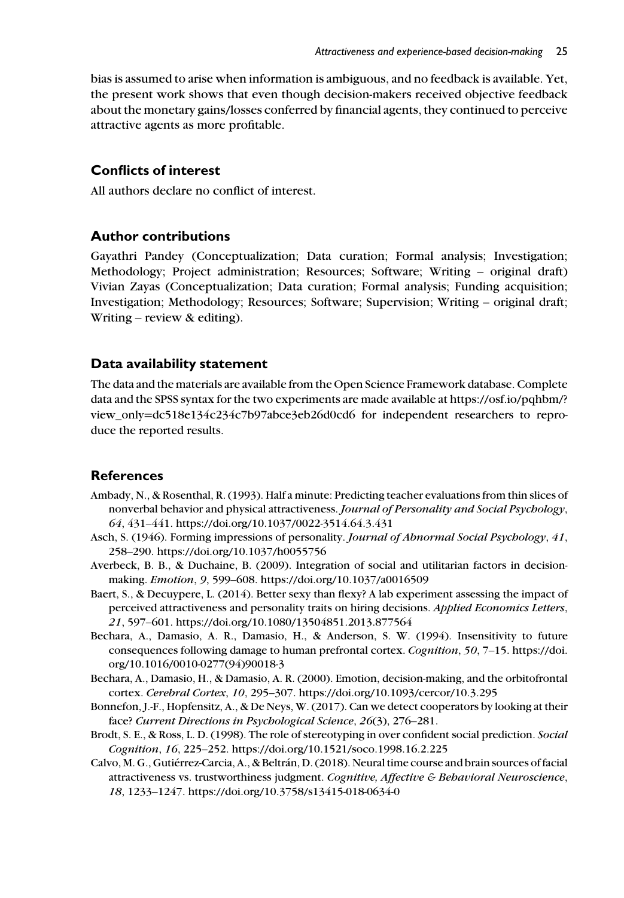bias is assumed to arise when information is ambiguous, and no feedback is available. Yet, the present work shows that even though decision-makers received objective feedback about the monetary gains/losses conferred by financial agents, they continued to perceive attractive agents as more profitable.

## Conflicts of interest

All authors declare no conflict of interest.

## Author contributions

Gayathri Pandey (Conceptualization; Data curation; Formal analysis; Investigation; Methodology; Project administration; Resources; Software; Writing – original draft) Vivian Zayas (Conceptualization; Data curation; Formal analysis; Funding acquisition; Investigation; Methodology; Resources; Software; Supervision; Writing – original draft; Writing – review & editing).

## Data availability statement

The data and the materials are available from the Open Science Framework database. Complete data and the SPSS syntax for the two experiments are made available at https://osf.io/pqhbm/? view\_only=dc518e134c234c7b97abce3eb26d0cd6 for independent researchers to reproduce the reported results.

## References

- Ambady, N., & Rosenthal, R. (1993). Half a minute: Predicting teacher evaluations from thin slices of nonverbal behavior and physical attractiveness. *Journal of Personality and Social Psychology*, *64*, 431–441. https://doi.org/10.1037/0022-3514.64.3.431
- Asch, S. (1946). Forming impressions of personality. *Journal of Abnormal Social Psychology*, *41*, 258–290. https://doi.org/10.1037/h0055756
- Averbeck, B. B., & Duchaine, B. (2009). Integration of social and utilitarian factors in decisionmaking. *Emotion*, *9*, 599–608. https://doi.org/10.1037/a0016509
- Baert, S., & Decuypere, L. (2014). Better sexy than flexy? A lab experiment assessing the impact of perceived attractiveness and personality traits on hiring decisions. *Applied Economics Letters*, *21*, 597–601. https://doi.org/10.1080/13504851.2013.877564
- Bechara, A., Damasio, A. R., Damasio, H., & Anderson, S. W. (1994). Insensitivity to future consequences following damage to human prefrontal cortex. *Cognition*, *50*, 7–15. https://doi. org/10.1016/0010-0277(94)90018-3
- Bechara, A., Damasio, H., & Damasio, A. R. (2000). Emotion, decision-making, and the orbitofrontal cortex. *Cerebral Cortex*, *10*, 295–307. https://doi.org/10.1093/cercor/10.3.295
- Bonnefon, J.-F., Hopfensitz, A., & De Neys, W. (2017). Can we detect cooperators by looking at their face? *Current Directions in Psychological Science*, *26*(3), 276–281.
- Brodt, S. E., & Ross, L. D. (1998). The role of stereotyping in over confident social prediction. *Social Cognition*, *16*, 225–252. https://doi.org/10.1521/soco.1998.16.2.225
- Calvo, M. G., Gutiérrez-Carcia, A., & Beltrán, D. (2018). Neural time course and brain sources of facial attractiveness vs. trustworthiness judgment. *Cognitive, Affective & Behavioral Neuroscience*, *18*, 1233–1247. https://doi.org/10.3758/s13415-018-0634-0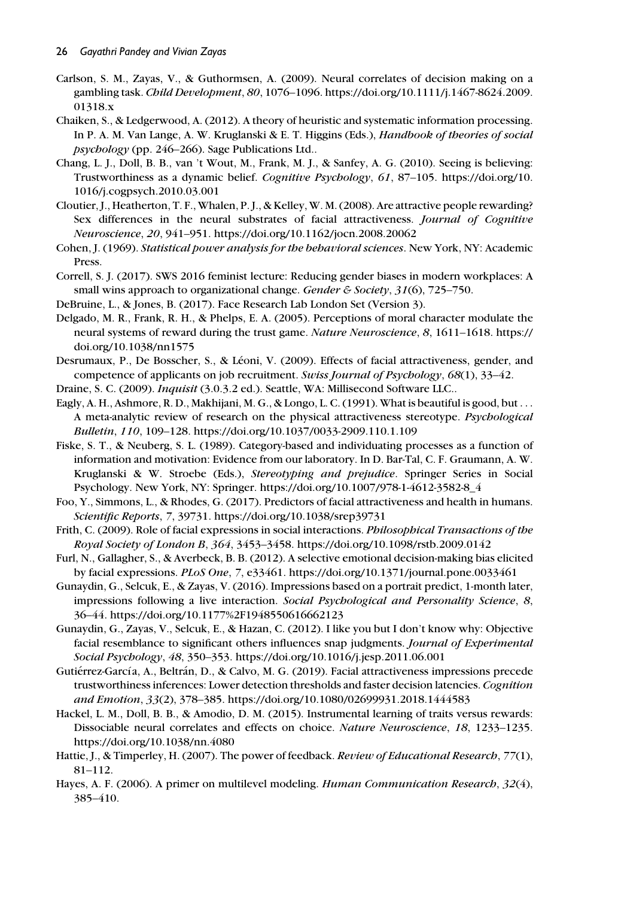- Carlson, S. M., Zayas, V., & Guthormsen, A. (2009). Neural correlates of decision making on a gambling task. *Child Development*, *80*, 1076–1096. https://doi.org/10.1111/j.1467-8624.2009. 01318.x
- Chaiken, S., & Ledgerwood, A. (2012). A theory of heuristic and systematic information processing. In P. A. M. Van Lange, A. W. Kruglanski & E. T. Higgins (Eds.), *Handbook of theories of social psychology* (pp. 246–266). Sage Publications Ltd..
- Chang, L. J., Doll, B. B., van 't Wout, M., Frank, M. J., & Sanfey, A. G. (2010). Seeing is believing: Trustworthiness as a dynamic belief. *Cognitive Psychology*, *61*, 87–105. https://doi.org/10. 1016/j.cogpsych.2010.03.001
- Cloutier, J., Heatherton, T. F., Whalen, P. J., & Kelley, W. M. (2008). Are attractive people rewarding? Sex differences in the neural substrates of facial attractiveness. *Journal of Cognitive Neuroscience*, *20*, 941–951. https://doi.org/10.1162/jocn.2008.20062
- Cohen, J. (1969). *Statistical power analysis for the behavioral sciences*. New York, NY: Academic Press.
- Correll, S. J. (2017). SWS 2016 feminist lecture: Reducing gender biases in modern workplaces: A small wins approach to organizational change. *Gender & Society*, *31*(6), 725–750.
- DeBruine, L., & Jones, B. (2017). Face Research Lab London Set (Version 3).
- Delgado, M. R., Frank, R. H., & Phelps, E. A. (2005). Perceptions of moral character modulate the neural systems of reward during the trust game. *Nature Neuroscience*, *8*, 1611–1618. https:// doi.org/10.1038/nn1575
- Desrumaux, P., De Bosscher, S., & Léoni, V. (2009). Effects of facial attractiveness, gender, and competence of applicants on job recruitment. *Swiss Journal of Psychology*, *68*(1), 33–42.
- Draine, S. C. (2009). *Inquisit* (3.0.3.2 ed.). Seattle, WA: Millisecond Software LLC..
- Eagly, A. H., Ashmore, R. D., Makhijani, M. G., & Longo, L. C. (1991). What is beautiful is good, but ... A meta-analytic review of research on the physical attractiveness stereotype. *Psychological Bulletin*, *110*, 109–128. https://doi.org/10.1037/0033-2909.110.1.109
- Fiske, S. T., & Neuberg, S. L. (1989). Category-based and individuating processes as a function of information and motivation: Evidence from our laboratory. In D. Bar-Tal, C. F. Graumann, A. W. Kruglanski & W. Stroebe (Eds.), *Stereotyping and prejudice*. Springer Series in Social Psychology. New York, NY: Springer. https://doi.org/10.1007/978-1-4612-3582-8\_4
- Foo, Y., Simmons, L., & Rhodes, G. (2017). Predictors of facial attractiveness and health in humans. *Scientific Reports*, *7*, 39731. https://doi.org/10.1038/srep39731
- Frith, C. (2009). Role of facial expressions in social interactions. *Philosophical Transactions of the Royal Society of London B*, *364*, 3453–3458. https://doi.org/10.1098/rstb.2009.0142
- Furl, N., Gallagher, S., & Averbeck, B. B. (2012). A selective emotional decision-making bias elicited by facial expressions. *PLoS One*, *7*, e33461. https://doi.org/10.1371/journal.pone.0033461
- Gunaydin, G., Selcuk, E., & Zayas, V. (2016). Impressions based on a portrait predict, 1-month later, impressions following a live interaction. *Social Psychological and Personality Science*, *8*, 36–44. https://doi.org/10.1177%2F1948550616662123
- Gunaydin, G., Zayas, V., Selcuk, E., & Hazan, C. (2012). I like you but I don't know why: Objective facial resemblance to significant others influences snap judgments. *Journal of Experimental Social Psychology*, *48*, 350–353. https://doi.org/10.1016/j.jesp.2011.06.001
- Gutiérrez-García, A., Beltrán, D., & Calvo, M. G. (2019). Facial attractiveness impressions precede trustworthiness inferences: Lower detection thresholds and faster decision latencies. *Cognition and Emotion*, *33*(2), 378–385. https://doi.org/10.1080/02699931.2018.1444583
- Hackel, L. M., Doll, B. B., & Amodio, D. M. (2015). Instrumental learning of traits versus rewards: Dissociable neural correlates and effects on choice. *Nature Neuroscience*, *18*, 1233–1235. https://doi.org/10.1038/nn.4080
- Hattie, J., & Timperley, H. (2007). The power of feedback. *Review of Educational Research*, *77*(1), 81–112.
- Hayes, A. F. (2006). A primer on multilevel modeling. *Human Communication Research*, *32*(4), 385–410.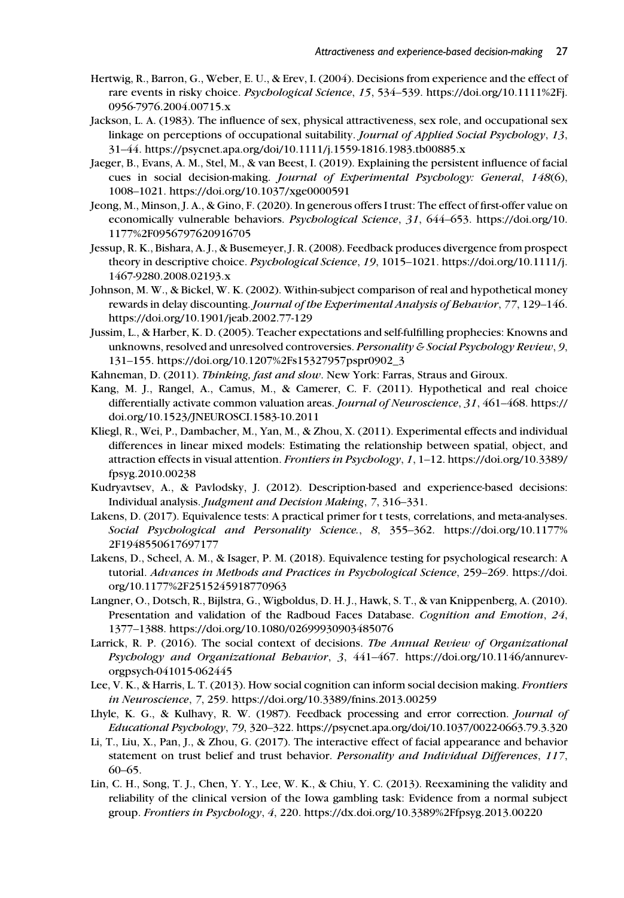- Hertwig, R., Barron, G., Weber, E. U., & Erev, I. (2004). Decisions from experience and the effect of rare events in risky choice. *Psychological Science*, *15*, 534–539. https://doi.org/10.1111%2Fj. 0956-7976.2004.00715.x
- Jackson, L. A. (1983). The influence of sex, physical attractiveness, sex role, and occupational sex linkage on perceptions of occupational suitability. *Journal of Applied Social Psychology*, *13*, 31–44. https://psycnet.apa.org/doi/10.1111/j.1559-1816.1983.tb00885.x
- Jaeger, B., Evans, A. M., Stel, M., & van Beest, I. (2019). Explaining the persistent influence of facial cues in social decision-making. *Journal of Experimental Psychology: General*, *148*(6), 1008–1021. https://doi.org/10.1037/xge0000591
- Jeong, M., Minson, J. A., & Gino, F. (2020). In generous offers I trust: The effect of first-offer value on economically vulnerable behaviors. *Psychological Science*, *31*, 644–653. https://doi.org/10. 1177%2F0956797620916705
- Jessup, R. K., Bishara, A. J., & Busemeyer, J. R. (2008). Feedback produces divergence from prospect theory in descriptive choice. *Psychological Science*, *19*, 1015–1021. https://doi.org/10.1111/j. 1467-9280.2008.02193.x
- Johnson, M. W., & Bickel, W. K. (2002). Within-subject comparison of real and hypothetical money rewards in delay discounting. *Journal of the Experimental Analysis of Behavior*, *77*, 129–146. https://doi.org/10.1901/jeab.2002.77-129
- Jussim, L., & Harber, K. D. (2005). Teacher expectations and self-fulfilling prophecies: Knowns and unknowns, resolved and unresolved controversies. *Personality & Social Psychology Review*, *9*, 131–155. https://doi.org/10.1207%2Fs15327957pspr0902\_3
- Kahneman, D. (2011). *Thinking, fast and slow*. New York: Farras, Straus and Giroux.
- Kang, M. J., Rangel, A., Camus, M., & Camerer, C. F. (2011). Hypothetical and real choice differentially activate common valuation areas. *Journal of Neuroscience*, *31*, 461–468. https:// doi.org/10.1523/JNEUROSCI.1583-10.2011
- Kliegl, R., Wei, P., Dambacher, M., Yan, M., & Zhou, X. (2011). Experimental effects and individual differences in linear mixed models: Estimating the relationship between spatial, object, and attraction effects in visual attention. *Frontiers in Psychology*, *1*, 1–12. https://doi.org/10.3389/ fpsyg.2010.00238
- Kudryavtsev, A., & Pavlodsky, J. (2012). Description-based and experience-based decisions: Individual analysis. *Judgment and Decision Making*, *7*, 316–331.
- Lakens, D. (2017). Equivalence tests: A practical primer for t tests, correlations, and meta-analyses. *Social Psychological and Personality Science.*, *8*, 355–362. https://doi.org/10.1177% 2F1948550617697177
- Lakens, D., Scheel, A. M., & Isager, P. M. (2018). Equivalence testing for psychological research: A tutorial. *Advances in Methods and Practices in Psychological Science*, 259–269. https://doi. org/10.1177%2F2515245918770963
- Langner, O., Dotsch, R., Bijlstra, G., Wigboldus, D. H. J., Hawk, S. T., & van Knippenberg, A. (2010). Presentation and validation of the Radboud Faces Database. *Cognition and Emotion*, *24*, 1377–1388. https://doi.org/10.1080/02699930903485076
- Larrick, R. P. (2016). The social context of decisions. *The Annual Review of Organizational Psychology and Organizational Behavior*, *3*, 441–467. https://doi.org/10.1146/annurevorgpsych-041015-062445
- Lee, V. K., & Harris, L. T. (2013). How social cognition can inform social decision making. *Frontiers in Neuroscience*, *7*, 259. https://doi.org/10.3389/fnins.2013.00259
- Lhyle, K. G., & Kulhavy, R. W. (1987). Feedback processing and error correction. *Journal of Educational Psychology*, *79*, 320–322. https://psycnet.apa.org/doi/10.1037/0022-0663.79.3.320
- Li, T., Liu, X., Pan, J., & Zhou, G. (2017). The interactive effect of facial appearance and behavior statement on trust belief and trust behavior. *Personality and Individual Differences*, *117*, 60–65.
- Lin, C. H., Song, T. J., Chen, Y. Y., Lee, W. K., & Chiu, Y. C. (2013). Reexamining the validity and reliability of the clinical version of the Iowa gambling task: Evidence from a normal subject group. *Frontiers in Psychology*, *4*, 220. https://dx.doi.org/10.3389%2Ffpsyg.2013.00220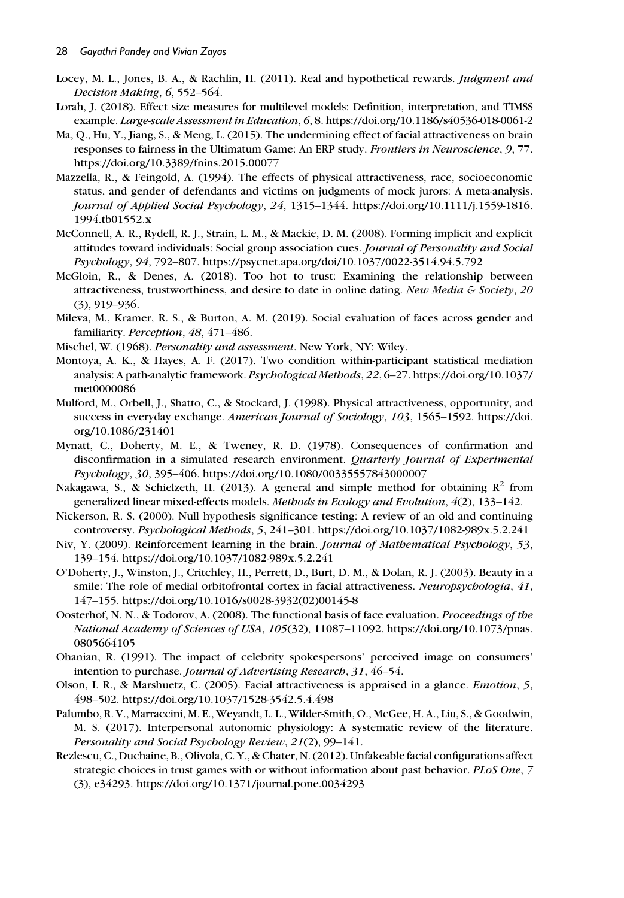- Locey, M. L., Jones, B. A., & Rachlin, H. (2011). Real and hypothetical rewards. *Judgment and Decision Making*, *6*, 552–564.
- Lorah, J. (2018). Effect size measures for multilevel models: Definition, interpretation, and TIMSS example. *Large-scale Assessment in Education*, *6*, 8. https://doi.org/10.1186/s40536-018-0061-2
- Ma, Q., Hu, Y., Jiang, S., & Meng, L. (2015). The undermining effect of facial attractiveness on brain responses to fairness in the Ultimatum Game: An ERP study. *Frontiers in Neuroscience*, *9*, 77. https://doi.org/10.3389/fnins.2015.00077
- Mazzella, R., & Feingold, A. (1994). The effects of physical attractiveness, race, socioeconomic status, and gender of defendants and victims on judgments of mock jurors: A meta-analysis. *Journal of Applied Social Psychology*, *24*, 1315–1344. https://doi.org/10.1111/j.1559-1816. 1994.tb01552.x
- McConnell, A. R., Rydell, R. J., Strain, L. M., & Mackie, D. M. (2008). Forming implicit and explicit attitudes toward individuals: Social group association cues. *Journal of Personality and Social Psychology*, *94*, 792–807. https://psycnet.apa.org/doi/10.1037/0022-3514.94.5.792
- McGloin, R., & Denes, A. (2018). Too hot to trust: Examining the relationship between attractiveness, trustworthiness, and desire to date in online dating. *New Media & Society*, *20* (3), 919–936.
- Mileva, M., Kramer, R. S., & Burton, A. M. (2019). Social evaluation of faces across gender and familiarity. *Perception*, *48*, 471–486.
- Mischel, W. (1968). *Personality and assessment*. New York, NY: Wiley.
- Montoya, A. K., & Hayes, A. F. (2017). Two condition within-participant statistical mediation analysis: A path-analytic framework. *Psychological Methods*, *22*, 6–27. https://doi.org/10.1037/ met0000086
- Mulford, M., Orbell, J., Shatto, C., & Stockard, J. (1998). Physical attractiveness, opportunity, and success in everyday exchange. *American Journal of Sociology*, *103*, 1565–1592. https://doi. org/10.1086/231401
- Mynatt, C., Doherty, M. E., & Tweney, R. D. (1978). Consequences of confirmation and disconfirmation in a simulated research environment. *Quarterly Journal of Experimental Psychology*, *30*, 395–406. https://doi.org/10.1080/00335557843000007
- Nakagawa, S., & Schielzeth, H. (2013). A general and simple method for obtaining  $R^2$  from generalized linear mixed-effects models. *Methods in Ecology and Evolution*, *4*(2), 133–142.
- Nickerson, R. S. (2000). Null hypothesis significance testing: A review of an old and continuing controversy. *Psychological Methods*, *5*, 241–301. https://doi.org/10.1037/1082-989x.5.2.241
- Niv, Y. (2009). Reinforcement learning in the brain. *Journal of Mathematical Psychology*, *53*, 139–154. https://doi.org/10.1037/1082-989x.5.2.241
- O'Doherty, J., Winston, J., Critchley, H., Perrett, D., Burt, D. M., & Dolan, R. J. (2003). Beauty in a smile: The role of medial orbitofrontal cortex in facial attractiveness. *Neuropsychologia*, *41*, 147–155. https://doi.org/10.1016/s0028-3932(02)00145-8
- Oosterhof, N. N., & Todorov, A. (2008). The functional basis of face evaluation. *Proceedings of the National Academy of Sciences of USA*, *105*(32), 11087–11092. https://doi.org/10.1073/pnas. 0805664105
- Ohanian, R. (1991). The impact of celebrity spokespersons' perceived image on consumers' intention to purchase. *Journal of Advertising Research*, *31*, 46–54.
- Olson, I. R., & Marshuetz, C. (2005). Facial attractiveness is appraised in a glance. *Emotion*, *5*, 498–502. https://doi.org/10.1037/1528-3542.5.4.498
- Palumbo, R. V., Marraccini, M. E., Weyandt, L. L., Wilder-Smith, O., McGee, H. A., Liu, S., & Goodwin, M. S. (2017). Interpersonal autonomic physiology: A systematic review of the literature. *Personality and Social Psychology Review*, *21*(2), 99–141.
- Rezlescu, C., Duchaine, B., Olivola, C. Y., & Chater, N. (2012). Unfakeable facial configurations affect strategic choices in trust games with or without information about past behavior. *PLoS One*, *7* (3), e34293. https://doi.org/10.1371/journal.pone.0034293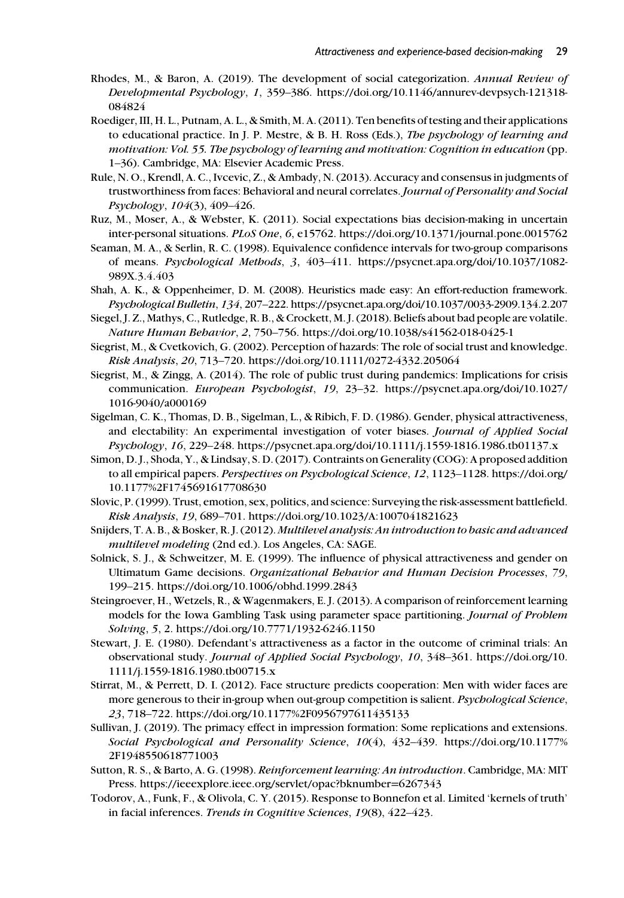- Rhodes, M., & Baron, A. (2019). The development of social categorization. *Annual Review of Developmental Psychology*, *1*, 359–386. https://doi.org/10.1146/annurev-devpsych-121318- 084824
- Roediger, III, H. L., Putnam, A. L., & Smith, M. A. (2011). Ten benefits of testing and their applications to educational practice. In J. P. Mestre, & B. H. Ross (Eds.), *The psychology of learning and motivation: Vol. 55. The psychology of learning and motivation: Cognition in education* (pp. 1–36). Cambridge, MA: Elsevier Academic Press.
- Rule, N. O., Krendl, A. C., Ivcevic, Z., & Ambady, N. (2013). Accuracy and consensus in judgments of trustworthiness from faces: Behavioral and neural correlates. *Journal of Personality and Social Psychology*, *104*(3), 409–426.
- Ruz, M., Moser, A., & Webster, K. (2011). Social expectations bias decision-making in uncertain inter-personal situations. *PLoS One*, *6*, e15762. https://doi.org/10.1371/journal.pone.0015762
- Seaman, M. A., & Serlin, R. C. (1998). Equivalence confidence intervals for two-group comparisons of means. *Psychological Methods*, *3*, 403–411. https://psycnet.apa.org/doi/10.1037/1082- 989X.3.4.403
- Shah, A. K., & Oppenheimer, D. M. (2008). Heuristics made easy: An effort-reduction framework. *Psychological Bulletin*, *134*, 207–222. https://psycnet.apa.org/doi/10.1037/0033-2909.134.2.207
- Siegel, J. Z., Mathys, C., Rutledge, R. B., & Crockett, M. J. (2018). Beliefs about bad people are volatile. *Nature Human Behavior*, *2*, 750–756. https://doi.org/10.1038/s41562-018-0425-1
- Siegrist, M., & Cvetkovich, G. (2002). Perception of hazards: The role of social trust and knowledge. *Risk Analysis*, *20*, 713–720. https://doi.org/10.1111/0272-4332.205064
- Siegrist, M., & Zingg, A. (2014). The role of public trust during pandemics: Implications for crisis communication. *European Psychologist*, *19*, 23–32. https://psycnet.apa.org/doi/10.1027/ 1016-9040/a000169
- Sigelman, C. K., Thomas, D. B., Sigelman, L., & Ribich, F. D. (1986). Gender, physical attractiveness, and electability: An experimental investigation of voter biases. *Journal of Applied Social Psychology*, *16*, 229–248. https://psycnet.apa.org/doi/10.1111/j.1559-1816.1986.tb01137.x
- Simon, D. J., Shoda, Y., & Lindsay, S. D. (2017). Contraints on Generality (COG): A proposed addition to all empirical papers. *Perspectives on Psychological Science*, *12*, 1123–1128. https://doi.org/ 10.1177%2F1745691617708630
- Slovic, P. (1999). Trust, emotion, sex, politics, and science: Surveying the risk-assessment battlefield. *Risk Analysis*, *19*, 689–701. https://doi.org/10.1023/A:1007041821623
- Snijders, T. A. B., & Bosker, R. J. (2012). *Multilevel analysis: An introduction to basic and advanced multilevel modeling* (2nd ed.). Los Angeles, CA: SAGE.
- Solnick, S. J., & Schweitzer, M. E. (1999). The influence of physical attractiveness and gender on Ultimatum Game decisions. *Organizational Behavior and Human Decision Processes*, *79*, 199–215. https://doi.org/10.1006/obhd.1999.2843
- Steingroever, H., Wetzels, R., & Wagenmakers, E. J. (2013). A comparison of reinforcement learning models for the Iowa Gambling Task using parameter space partitioning. *Journal of Problem Solving*, *5*, 2. https://doi.org/10.7771/1932-6246.1150
- Stewart, J. E. (1980). Defendant's attractiveness as a factor in the outcome of criminal trials: An observational study. *Journal of Applied Social Psychology*, *10*, 348–361. https://doi.org/10. 1111/j.1559-1816.1980.tb00715.x
- Stirrat, M., & Perrett, D. I. (2012). Face structure predicts cooperation: Men with wider faces are more generous to their in-group when out-group competition is salient. *Psychological Science*, *23*, 718–722. https://doi.org/10.1177%2F0956797611435133
- Sullivan, J. (2019). The primacy effect in impression formation: Some replications and extensions. *Social Psychological and Personality Science*, *10*(4), 432–439. https://doi.org/10.1177% 2F1948550618771003
- Sutton, R. S., & Barto, A. G. (1998). *Reinforcement learning: An introduction*. Cambridge, MA: MIT Press. https://ieeexplore.ieee.org/servlet/opac?bknumber=6267343
- Todorov, A., Funk, F., & Olivola, C. Y. (2015). Response to Bonnefon et al. Limited 'kernels of truth' in facial inferences. *Trends in Cognitive Sciences*, *19*(8), 422–423.